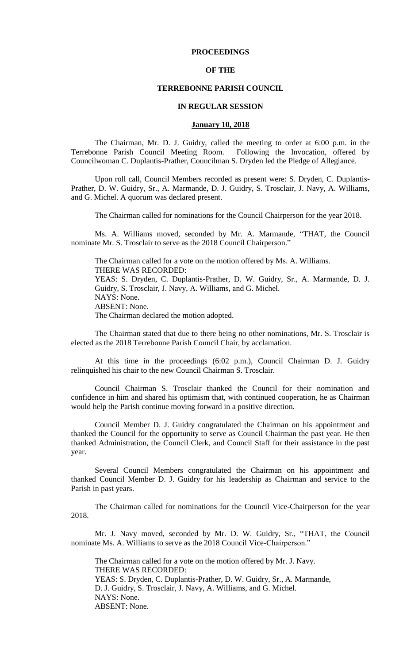## **PROCEEDINGS**

## **OF THE**

### **TERREBONNE PARISH COUNCIL**

### **IN REGULAR SESSION**

### **January 10, 2018**

The Chairman, Mr. D. J. Guidry, called the meeting to order at 6:00 p.m. in the Terrebonne Parish Council Meeting Room. Following the Invocation, offered by Councilwoman C. Duplantis-Prather, Councilman S. Dryden led the Pledge of Allegiance.

Upon roll call, Council Members recorded as present were: S. Dryden, C. Duplantis-Prather, D. W. Guidry, Sr., A. Marmande, D. J. Guidry, S. Trosclair, J. Navy, A. Williams, and G. Michel. A quorum was declared present.

The Chairman called for nominations for the Council Chairperson for the year 2018.

Ms. A. Williams moved, seconded by Mr. A. Marmande, "THAT, the Council nominate Mr. S. Trosclair to serve as the 2018 Council Chairperson."

The Chairman called for a vote on the motion offered by Ms. A. Williams. THERE WAS RECORDED: YEAS: S. Dryden, C. Duplantis-Prather, D. W. Guidry, Sr., A. Marmande, D. J. Guidry, S. Trosclair, J. Navy, A. Williams, and G. Michel. NAYS: None. ABSENT: None. The Chairman declared the motion adopted.

The Chairman stated that due to there being no other nominations, Mr. S. Trosclair is elected as the 2018 Terrebonne Parish Council Chair, by acclamation.

At this time in the proceedings (6:02 p.m.), Council Chairman D. J. Guidry relinquished his chair to the new Council Chairman S. Trosclair.

Council Chairman S. Trosclair thanked the Council for their nomination and confidence in him and shared his optimism that, with continued cooperation, he as Chairman would help the Parish continue moving forward in a positive direction.

Council Member D. J. Guidry congratulated the Chairman on his appointment and thanked the Council for the opportunity to serve as Council Chairman the past year. He then thanked Administration, the Council Clerk, and Council Staff for their assistance in the past year.

Several Council Members congratulated the Chairman on his appointment and thanked Council Member D. J. Guidry for his leadership as Chairman and service to the Parish in past years.

The Chairman called for nominations for the Council Vice-Chairperson for the year 2018.

Mr. J. Navy moved, seconded by Mr. D. W. Guidry, Sr., "THAT, the Council nominate Ms. A. Williams to serve as the 2018 Council Vice-Chairperson."

The Chairman called for a vote on the motion offered by Mr. J. Navy. THERE WAS RECORDED: YEAS: S. Dryden, C. Duplantis-Prather, D. W. Guidry, Sr., A. Marmande, D. J. Guidry, S. Trosclair, J. Navy, A. Williams, and G. Michel. NAYS: None. ABSENT: None.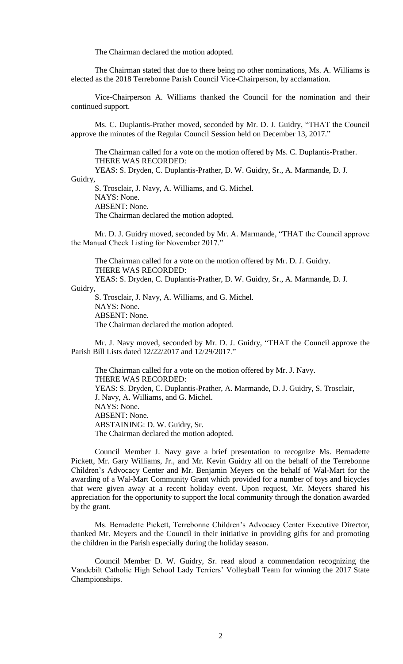The Chairman declared the motion adopted.

The Chairman stated that due to there being no other nominations, Ms. A. Williams is elected as the 2018 Terrebonne Parish Council Vice-Chairperson, by acclamation.

Vice-Chairperson A. Williams thanked the Council for the nomination and their continued support.

Ms. C. Duplantis-Prather moved, seconded by Mr. D. J. Guidry, "THAT the Council approve the minutes of the Regular Council Session held on December 13, 2017."

The Chairman called for a vote on the motion offered by Ms. C. Duplantis-Prather. THERE WAS RECORDED:

YEAS: S. Dryden, C. Duplantis-Prather, D. W. Guidry, Sr., A. Marmande, D. J. Guidry,

S. Trosclair, J. Navy, A. Williams, and G. Michel. NAYS: None.

ABSENT: None.

The Chairman declared the motion adopted.

Mr. D. J. Guidry moved, seconded by Mr. A. Marmande, "THAT the Council approve the Manual Check Listing for November 2017."

The Chairman called for a vote on the motion offered by Mr. D. J. Guidry. THERE WAS RECORDED: YEAS: S. Dryden, C. Duplantis-Prather, D. W. Guidry, Sr., A. Marmande, D. J.

Guidry,

S. Trosclair, J. Navy, A. Williams, and G. Michel. NAYS: None. ABSENT: None. The Chairman declared the motion adopted.

Mr. J. Navy moved, seconded by Mr. D. J. Guidry, "THAT the Council approve the Parish Bill Lists dated 12/22/2017 and 12/29/2017."

The Chairman called for a vote on the motion offered by Mr. J. Navy. THERE WAS RECORDED: YEAS: S. Dryden, C. Duplantis-Prather, A. Marmande, D. J. Guidry, S. Trosclair, J. Navy, A. Williams, and G. Michel. NAYS: None. ABSENT: None. ABSTAINING: D. W. Guidry, Sr. The Chairman declared the motion adopted.

Council Member J. Navy gave a brief presentation to recognize Ms. Bernadette Pickett, Mr. Gary Williams, Jr., and Mr. Kevin Guidry all on the behalf of the Terrebonne Children's Advocacy Center and Mr. Benjamin Meyers on the behalf of Wal-Mart for the awarding of a Wal-Mart Community Grant which provided for a number of toys and bicycles that were given away at a recent holiday event. Upon request, Mr. Meyers shared his appreciation for the opportunity to support the local community through the donation awarded by the grant.

Ms. Bernadette Pickett, Terrebonne Children's Advocacy Center Executive Director, thanked Mr. Meyers and the Council in their initiative in providing gifts for and promoting the children in the Parish especially during the holiday season.

Council Member D. W. Guidry, Sr. read aloud a commendation recognizing the Vandebilt Catholic High School Lady Terriers' Volleyball Team for winning the 2017 State Championships.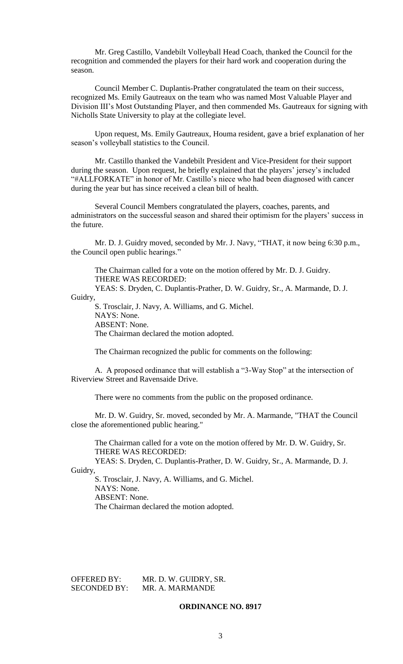Mr. Greg Castillo, Vandebilt Volleyball Head Coach, thanked the Council for the recognition and commended the players for their hard work and cooperation during the season.

Council Member C. Duplantis-Prather congratulated the team on their success, recognized Ms. Emily Gautreaux on the team who was named Most Valuable Player and Division III's Most Outstanding Player, and then commended Ms. Gautreaux for signing with Nicholls State University to play at the collegiate level.

Upon request, Ms. Emily Gautreaux, Houma resident, gave a brief explanation of her season's volleyball statistics to the Council.

Mr. Castillo thanked the Vandebilt President and Vice-President for their support during the season. Upon request, he briefly explained that the players' jersey's included "#ALLFORKATE" in honor of Mr. Castillo's niece who had been diagnosed with cancer during the year but has since received a clean bill of health.

Several Council Members congratulated the players, coaches, parents, and administrators on the successful season and shared their optimism for the players' success in the future.

Mr. D. J. Guidry moved, seconded by Mr. J. Navy, "THAT, it now being 6:30 p.m., the Council open public hearings."

The Chairman called for a vote on the motion offered by Mr. D. J. Guidry. THERE WAS RECORDED:

YEAS: S. Dryden, C. Duplantis-Prather, D. W. Guidry, Sr., A. Marmande, D. J. Guidry,

S. Trosclair, J. Navy, A. Williams, and G. Michel. NAYS: None. ABSENT: None. The Chairman declared the motion adopted.

The Chairman recognized the public for comments on the following:

A. A proposed ordinance that will establish a "3-Way Stop" at the intersection of Riverview Street and Ravensaide Drive.

There were no comments from the public on the proposed ordinance.

Mr. D. W. Guidry, Sr. moved, seconded by Mr. A. Marmande, "THAT the Council close the aforementioned public hearing."

The Chairman called for a vote on the motion offered by Mr. D. W. Guidry, Sr. THERE WAS RECORDED:

YEAS: S. Dryden, C. Duplantis-Prather, D. W. Guidry, Sr., A. Marmande, D. J. Guidry,

S. Trosclair, J. Navy, A. Williams, and G. Michel. NAYS: None. ABSENT: None. The Chairman declared the motion adopted.

OFFERED BY: MR. D. W. GUIDRY, SR. SECONDED BY: MR. A. MARMANDE

## **ORDINANCE NO. 8917**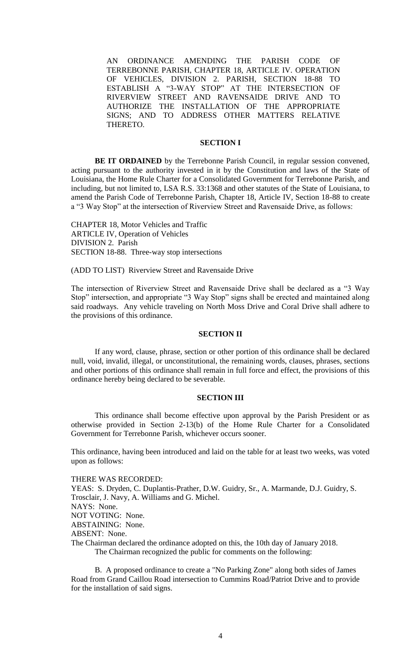AN ORDINANCE AMENDING THE PARISH CODE OF TERREBONNE PARISH, CHAPTER 18, ARTICLE IV. OPERATION OF VEHICLES, DIVISION 2. PARISH, SECTION 18-88 TO ESTABLISH A "3-WAY STOP" AT THE INTERSECTION OF RIVERVIEW STREET AND RAVENSAIDE DRIVE AND TO AUTHORIZE THE INSTALLATION OF THE APPROPRIATE SIGNS; AND TO ADDRESS OTHER MATTERS RELATIVE THERETO.

## **SECTION I**

**BE IT ORDAINED** by the Terrebonne Parish Council, in regular session convened, acting pursuant to the authority invested in it by the Constitution and laws of the State of Louisiana, the Home Rule Charter for a Consolidated Government for Terrebonne Parish, and including, but not limited to, LSA R.S. 33:1368 and other statutes of the State of Louisiana, to amend the Parish Code of Terrebonne Parish, Chapter 18, Article IV, Section 18-88 to create a "3 Way Stop" at the intersection of Riverview Street and Ravensaide Drive, as follows:

CHAPTER 18, Motor Vehicles and Traffic ARTICLE IV, Operation of Vehicles DIVISION 2. Parish SECTION 18-88. Three-way stop intersections

(ADD TO LIST) Riverview Street and Ravensaide Drive

The intersection of Riverview Street and Ravensaide Drive shall be declared as a "3 Way Stop" intersection, and appropriate "3 Way Stop" signs shall be erected and maintained along said roadways. Any vehicle traveling on North Moss Drive and Coral Drive shall adhere to the provisions of this ordinance.

### **SECTION II**

If any word, clause, phrase, section or other portion of this ordinance shall be declared null, void, invalid, illegal, or unconstitutional, the remaining words, clauses, phrases, sections and other portions of this ordinance shall remain in full force and effect, the provisions of this ordinance hereby being declared to be severable.

## **SECTION III**

This ordinance shall become effective upon approval by the Parish President or as otherwise provided in Section 2-13(b) of the Home Rule Charter for a Consolidated Government for Terrebonne Parish, whichever occurs sooner.

This ordinance, having been introduced and laid on the table for at least two weeks, was voted upon as follows:

#### THERE WAS RECORDED:

YEAS: S. Dryden, C. Duplantis-Prather, D.W. Guidry, Sr., A. Marmande, D.J. Guidry, S. Trosclair, J. Navy, A. Williams and G. Michel.

NAYS: None.

NOT VOTING: None.

ABSTAINING: None.

## ABSENT: None.

The Chairman declared the ordinance adopted on this, the 10th day of January 2018. The Chairman recognized the public for comments on the following:

B. A proposed ordinance to create a "No Parking Zone" along both sides of James Road from Grand Caillou Road intersection to Cummins Road/Patriot Drive and to provide for the installation of said signs.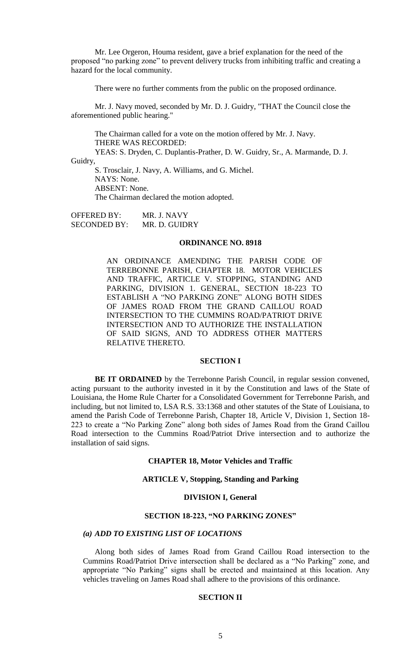Mr. Lee Orgeron, Houma resident, gave a brief explanation for the need of the proposed "no parking zone" to prevent delivery trucks from inhibiting traffic and creating a hazard for the local community.

There were no further comments from the public on the proposed ordinance.

Mr. J. Navy moved, seconded by Mr. D. J. Guidry, "THAT the Council close the aforementioned public hearing."

The Chairman called for a vote on the motion offered by Mr. J. Navy. THERE WAS RECORDED:

YEAS: S. Dryden, C. Duplantis-Prather, D. W. Guidry, Sr., A. Marmande, D. J. Guidry,

S. Trosclair, J. Navy, A. Williams, and G. Michel. NAYS: None. ABSENT: None. The Chairman declared the motion adopted.

OFFERED BY: MR. J. NAVY SECONDED BY: MR. D. GUIDRY

## **ORDINANCE NO. 8918**

AN ORDINANCE AMENDING THE PARISH CODE OF TERREBONNE PARISH, CHAPTER 18. MOTOR VEHICLES AND TRAFFIC, ARTICLE V. STOPPING, STANDING AND PARKING, DIVISION 1. GENERAL, SECTION 18-223 TO ESTABLISH A "NO PARKING ZONE" ALONG BOTH SIDES OF JAMES ROAD FROM THE GRAND CAILLOU ROAD INTERSECTION TO THE CUMMINS ROAD/PATRIOT DRIVE INTERSECTION AND TO AUTHORIZE THE INSTALLATION OF SAID SIGNS, AND TO ADDRESS OTHER MATTERS RELATIVE THERETO.

## **SECTION I**

**BE IT ORDAINED** by the Terrebonne Parish Council, in regular session convened, acting pursuant to the authority invested in it by the Constitution and laws of the State of Louisiana, the Home Rule Charter for a Consolidated Government for Terrebonne Parish, and including, but not limited to, LSA R.S. 33:1368 and other statutes of the State of Louisiana, to amend the Parish Code of Terrebonne Parish, Chapter 18, Article V, Division 1, Section 18- 223 to create a "No Parking Zone" along both sides of James Road from the Grand Caillou Road intersection to the Cummins Road/Patriot Drive intersection and to authorize the installation of said signs.

## **CHAPTER 18, Motor Vehicles and Traffic**

### **ARTICLE V, Stopping, Standing and Parking**

### **DIVISION I, General**

### **SECTION 18-223, "NO PARKING ZONES"**

### *(a) ADD TO EXISTING LIST OF LOCATIONS*

Along both sides of James Road from Grand Caillou Road intersection to the Cummins Road/Patriot Drive intersection shall be declared as a "No Parking" zone, and appropriate "No Parking" signs shall be erected and maintained at this location. Any vehicles traveling on James Road shall adhere to the provisions of this ordinance.

## **SECTION II**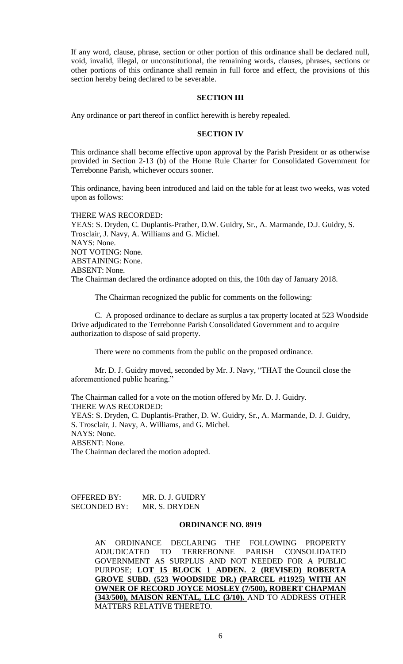If any word, clause, phrase, section or other portion of this ordinance shall be declared null, void, invalid, illegal, or unconstitutional, the remaining words, clauses, phrases, sections or other portions of this ordinance shall remain in full force and effect, the provisions of this section hereby being declared to be severable.

### **SECTION III**

Any ordinance or part thereof in conflict herewith is hereby repealed.

## **SECTION IV**

This ordinance shall become effective upon approval by the Parish President or as otherwise provided in Section 2-13 (b) of the Home Rule Charter for Consolidated Government for Terrebonne Parish, whichever occurs sooner.

This ordinance, having been introduced and laid on the table for at least two weeks, was voted upon as follows:

# THERE WAS RECORDED:

YEAS: S. Dryden, C. Duplantis-Prather, D.W. Guidry, Sr., A. Marmande, D.J. Guidry, S. Trosclair, J. Navy, A. Williams and G. Michel. NAYS: None. NOT VOTING: None. ABSTAINING: None. ABSENT: None. The Chairman declared the ordinance adopted on this, the 10th day of January 2018.

The Chairman recognized the public for comments on the following:

C. A proposed ordinance to declare as surplus a tax property located at 523 Woodside Drive adjudicated to the Terrebonne Parish Consolidated Government and to acquire authorization to dispose of said property.

There were no comments from the public on the proposed ordinance.

Mr. D. J. Guidry moved, seconded by Mr. J. Navy, "THAT the Council close the aforementioned public hearing."

The Chairman called for a vote on the motion offered by Mr. D. J. Guidry. THERE WAS RECORDED: YEAS: S. Dryden, C. Duplantis-Prather, D. W. Guidry, Sr., A. Marmande, D. J. Guidry, S. Trosclair, J. Navy, A. Williams, and G. Michel. NAYS: None. ABSENT: None. The Chairman declared the motion adopted.

OFFERED BY: MR. D. J. GUIDRY SECONDED BY: MR. S. DRYDEN

## **ORDINANCE NO. 8919**

AN ORDINANCE DECLARING THE FOLLOWING PROPERTY ADJUDICATED TO TERREBONNE PARISH CONSOLIDATED GOVERNMENT AS SURPLUS AND NOT NEEDED FOR A PUBLIC PURPOSE; **LOT 15 BLOCK 1 ADDEN. 2 (REVISED) ROBERTA GROVE SUBD. (523 WOODSIDE DR.) (PARCEL #11925) WITH AN OWNER OF RECORD JOYCE MOSLEY (7/500), ROBERT CHAPMAN (343/500), MAISON RENTAL, LLC (3/10).** AND TO ADDRESS OTHER MATTERS RELATIVE THERETO.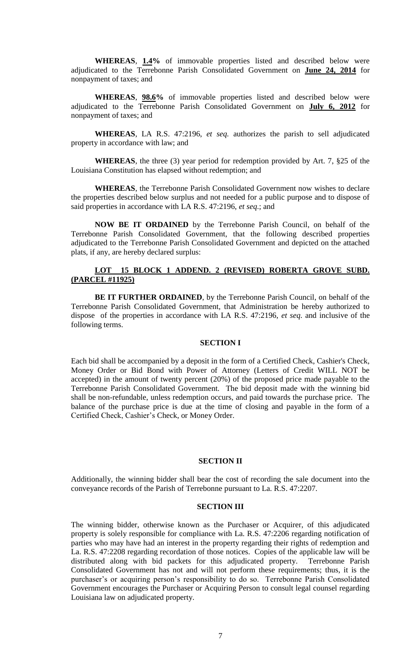**WHEREAS**, **1.4%** of immovable properties listed and described below were adjudicated to the Terrebonne Parish Consolidated Government on **June 24, 2014** for nonpayment of taxes; and

**WHEREAS**, **98.6%** of immovable properties listed and described below were adjudicated to the Terrebonne Parish Consolidated Government on **July 6, 2012** for nonpayment of taxes; and

**WHEREAS**, LA R.S. 47:2196, *et seq.* authorizes the parish to sell adjudicated property in accordance with law; and

**WHEREAS**, the three (3) year period for redemption provided by Art. 7, §25 of the Louisiana Constitution has elapsed without redemption; and

**WHEREAS**, the Terrebonne Parish Consolidated Government now wishes to declare the properties described below surplus and not needed for a public purpose and to dispose of said properties in accordance with LA R.S. 47:2196, *et seq*.; and

**NOW BE IT ORDAINED** by the Terrebonne Parish Council, on behalf of the Terrebonne Parish Consolidated Government, that the following described properties adjudicated to the Terrebonne Parish Consolidated Government and depicted on the attached plats, if any, are hereby declared surplus:

# **LOT 15 BLOCK 1 ADDEND. 2 (REVISED) ROBERTA GROVE SUBD. (PARCEL #11925)**

**BE IT FURTHER ORDAINED**, by the Terrebonne Parish Council, on behalf of the Terrebonne Parish Consolidated Government, that Administration be hereby authorized to dispose of the properties in accordance with LA R.S. 47:2196, *et seq*. and inclusive of the following terms.

## **SECTION I**

Each bid shall be accompanied by a deposit in the form of a Certified Check, Cashier's Check, Money Order or Bid Bond with Power of Attorney (Letters of Credit WILL NOT be accepted) in the amount of twenty percent (20%) of the proposed price made payable to the Terrebonne Parish Consolidated Government. The bid deposit made with the winning bid shall be non-refundable, unless redemption occurs, and paid towards the purchase price. The balance of the purchase price is due at the time of closing and payable in the form of a Certified Check, Cashier's Check, or Money Order.

### **SECTION II**

Additionally, the winning bidder shall bear the cost of recording the sale document into the conveyance records of the Parish of Terrebonne pursuant to La. R.S. 47:2207.

#### **SECTION III**

The winning bidder, otherwise known as the Purchaser or Acquirer, of this adjudicated property is solely responsible for compliance with La. R.S. 47:2206 regarding notification of parties who may have had an interest in the property regarding their rights of redemption and La. R.S. 47:2208 regarding recordation of those notices. Copies of the applicable law will be distributed along with bid packets for this adjudicated property. Terrebonne Parish Consolidated Government has not and will not perform these requirements; thus, it is the purchaser's or acquiring person's responsibility to do so. Terrebonne Parish Consolidated Government encourages the Purchaser or Acquiring Person to consult legal counsel regarding Louisiana law on adjudicated property.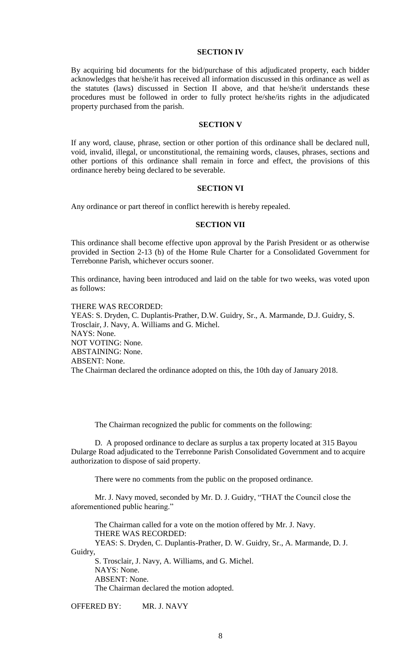## **SECTION IV**

By acquiring bid documents for the bid/purchase of this adjudicated property, each bidder acknowledges that he/she/it has received all information discussed in this ordinance as well as the statutes (laws) discussed in Section II above, and that he/she/it understands these procedures must be followed in order to fully protect he/she/its rights in the adjudicated property purchased from the parish.

## **SECTION V**

If any word, clause, phrase, section or other portion of this ordinance shall be declared null, void, invalid, illegal, or unconstitutional, the remaining words, clauses, phrases, sections and other portions of this ordinance shall remain in force and effect, the provisions of this ordinance hereby being declared to be severable.

#### **SECTION VI**

Any ordinance or part thereof in conflict herewith is hereby repealed.

### **SECTION VII**

This ordinance shall become effective upon approval by the Parish President or as otherwise provided in Section 2-13 (b) of the Home Rule Charter for a Consolidated Government for Terrebonne Parish, whichever occurs sooner.

This ordinance, having been introduced and laid on the table for two weeks, was voted upon as follows:

THERE WAS RECORDED: YEAS: S. Dryden, C. Duplantis-Prather, D.W. Guidry, Sr., A. Marmande, D.J. Guidry, S. Trosclair, J. Navy, A. Williams and G. Michel. NAYS: None. NOT VOTING: None. ABSTAINING: None. ABSENT: None. The Chairman declared the ordinance adopted on this, the 10th day of January 2018.

The Chairman recognized the public for comments on the following:

D. A proposed ordinance to declare as surplus a tax property located at 315 Bayou Dularge Road adjudicated to the Terrebonne Parish Consolidated Government and to acquire authorization to dispose of said property.

There were no comments from the public on the proposed ordinance.

Mr. J. Navy moved, seconded by Mr. D. J. Guidry, "THAT the Council close the aforementioned public hearing."

The Chairman called for a vote on the motion offered by Mr. J. Navy. THERE WAS RECORDED: YEAS: S. Dryden, C. Duplantis-Prather, D. W. Guidry, Sr., A. Marmande, D. J. Guidry,

S. Trosclair, J. Navy, A. Williams, and G. Michel. NAYS: None. ABSENT: None. The Chairman declared the motion adopted.

OFFERED BY: MR. J. NAVY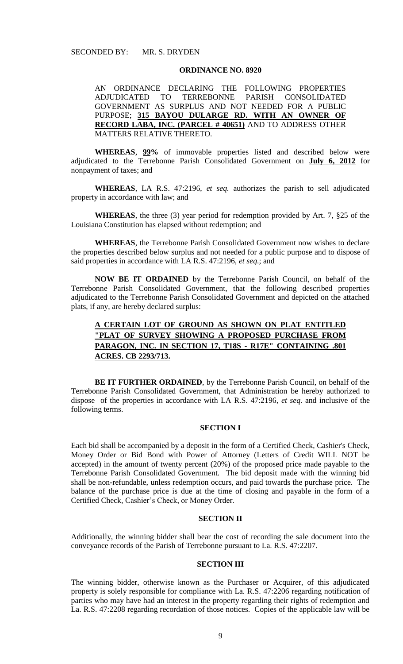#### **ORDINANCE NO. 8920**

AN ORDINANCE DECLARING THE FOLLOWING PROPERTIES<br>ADJUDICATED TO TERREBONNE PARISH CONSOLIDATED ADJUDICATED TO TERREBONNE PARISH CONSOLIDATED GOVERNMENT AS SURPLUS AND NOT NEEDED FOR A PUBLIC PURPOSE; **315 BAYOU DULARGE RD. WITH AN OWNER OF RECORD LABA, INC. (PARCEL # 40651)** AND TO ADDRESS OTHER MATTERS RELATIVE THERETO.

**WHEREAS**, **99%** of immovable properties listed and described below were adjudicated to the Terrebonne Parish Consolidated Government on **July 6, 2012** for nonpayment of taxes; and

**WHEREAS**, LA R.S. 47:2196, *et seq.* authorizes the parish to sell adjudicated property in accordance with law; and

**WHEREAS**, the three (3) year period for redemption provided by Art. 7, §25 of the Louisiana Constitution has elapsed without redemption; and

**WHEREAS**, the Terrebonne Parish Consolidated Government now wishes to declare the properties described below surplus and not needed for a public purpose and to dispose of said properties in accordance with LA R.S. 47:2196, *et seq*.; and

**NOW BE IT ORDAINED** by the Terrebonne Parish Council, on behalf of the Terrebonne Parish Consolidated Government, that the following described properties adjudicated to the Terrebonne Parish Consolidated Government and depicted on the attached plats, if any, are hereby declared surplus:

# **A CERTAIN LOT OF GROUND AS SHOWN ON PLAT ENTITLED "PLAT OF SURVEY SHOWING A PROPOSED PURCHASE FROM PARAGON, INC. IN SECTION 17, T18S - R17E" CONTAINING .801 ACRES. CB 2293/713.**

**BE IT FURTHER ORDAINED**, by the Terrebonne Parish Council, on behalf of the Terrebonne Parish Consolidated Government, that Administration be hereby authorized to dispose of the properties in accordance with LA R.S. 47:2196, *et seq*. and inclusive of the following terms.

# **SECTION I**

Each bid shall be accompanied by a deposit in the form of a Certified Check, Cashier's Check, Money Order or Bid Bond with Power of Attorney (Letters of Credit WILL NOT be accepted) in the amount of twenty percent (20%) of the proposed price made payable to the Terrebonne Parish Consolidated Government. The bid deposit made with the winning bid shall be non-refundable, unless redemption occurs, and paid towards the purchase price. The balance of the purchase price is due at the time of closing and payable in the form of a Certified Check, Cashier's Check, or Money Order.

## **SECTION II**

Additionally, the winning bidder shall bear the cost of recording the sale document into the conveyance records of the Parish of Terrebonne pursuant to La. R.S. 47:2207.

### **SECTION III**

The winning bidder, otherwise known as the Purchaser or Acquirer, of this adjudicated property is solely responsible for compliance with La. R.S. 47:2206 regarding notification of parties who may have had an interest in the property regarding their rights of redemption and La. R.S. 47:2208 regarding recordation of those notices. Copies of the applicable law will be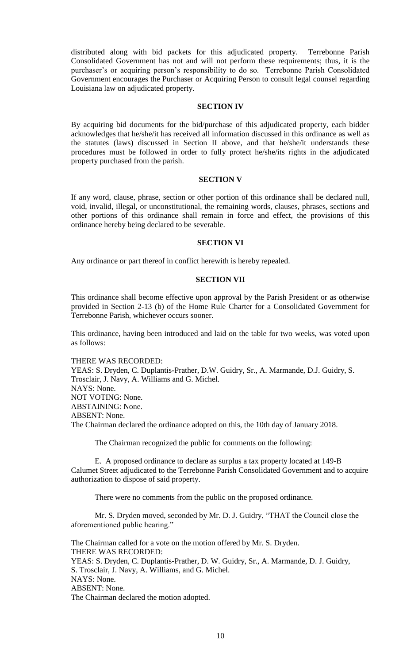distributed along with bid packets for this adjudicated property. Terrebonne Parish Consolidated Government has not and will not perform these requirements; thus, it is the purchaser's or acquiring person's responsibility to do so. Terrebonne Parish Consolidated Government encourages the Purchaser or Acquiring Person to consult legal counsel regarding Louisiana law on adjudicated property.

## **SECTION IV**

By acquiring bid documents for the bid/purchase of this adjudicated property, each bidder acknowledges that he/she/it has received all information discussed in this ordinance as well as the statutes (laws) discussed in Section II above, and that he/she/it understands these procedures must be followed in order to fully protect he/she/its rights in the adjudicated property purchased from the parish.

## **SECTION V**

If any word, clause, phrase, section or other portion of this ordinance shall be declared null, void, invalid, illegal, or unconstitutional, the remaining words, clauses, phrases, sections and other portions of this ordinance shall remain in force and effect, the provisions of this ordinance hereby being declared to be severable.

#### **SECTION VI**

Any ordinance or part thereof in conflict herewith is hereby repealed.

## **SECTION VII**

This ordinance shall become effective upon approval by the Parish President or as otherwise provided in Section 2-13 (b) of the Home Rule Charter for a Consolidated Government for Terrebonne Parish, whichever occurs sooner.

This ordinance, having been introduced and laid on the table for two weeks, was voted upon as follows:

## THERE WAS RECORDED:

YEAS: S. Dryden, C. Duplantis-Prather, D.W. Guidry, Sr., A. Marmande, D.J. Guidry, S. Trosclair, J. Navy, A. Williams and G. Michel. NAYS: None. NOT VOTING: None. ABSTAINING: None. ABSENT: None. The Chairman declared the ordinance adopted on this, the 10th day of January 2018.

The Chairman recognized the public for comments on the following:

E. A proposed ordinance to declare as surplus a tax property located at 149-B Calumet Street adjudicated to the Terrebonne Parish Consolidated Government and to acquire authorization to dispose of said property.

There were no comments from the public on the proposed ordinance.

Mr. S. Dryden moved, seconded by Mr. D. J. Guidry, "THAT the Council close the aforementioned public hearing."

The Chairman called for a vote on the motion offered by Mr. S. Dryden. THERE WAS RECORDED: YEAS: S. Dryden, C. Duplantis-Prather, D. W. Guidry, Sr., A. Marmande, D. J. Guidry, S. Trosclair, J. Navy, A. Williams, and G. Michel. NAYS: None. ABSENT: None. The Chairman declared the motion adopted.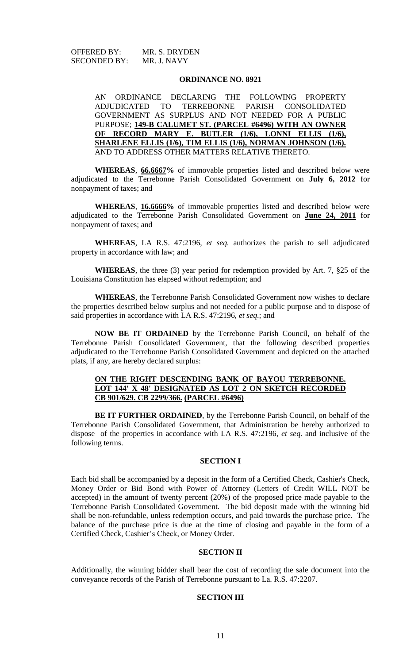OFFERED BY: MR. S. DRYDEN SECONDED BY: MR. J. NAVY

### **ORDINANCE NO. 8921**

AN ORDINANCE DECLARING THE FOLLOWING PROPERTY ADJUDICATED TO TERREBONNE PARISH CONSOLIDATED GOVERNMENT AS SURPLUS AND NOT NEEDED FOR A PUBLIC PURPOSE; **149-B CALUMET ST. (PARCEL #6496) WITH AN OWNER OF RECORD MARY E. BUTLER (1/6), LONNI ELLIS (1/6), SHARLENE ELLIS (1/6), TIM ELLIS (1/6), NORMAN JOHNSON (1/6).** AND TO ADDRESS OTHER MATTERS RELATIVE THERETO.

**WHEREAS**, **66.6667%** of immovable properties listed and described below were adjudicated to the Terrebonne Parish Consolidated Government on **July 6, 2012** for nonpayment of taxes; and

**WHEREAS**, **16.6666%** of immovable properties listed and described below were adjudicated to the Terrebonne Parish Consolidated Government on **June 24, 2011** for nonpayment of taxes; and

**WHEREAS**, LA R.S. 47:2196, *et seq.* authorizes the parish to sell adjudicated property in accordance with law; and

**WHEREAS**, the three (3) year period for redemption provided by Art. 7, §25 of the Louisiana Constitution has elapsed without redemption; and

**WHEREAS**, the Terrebonne Parish Consolidated Government now wishes to declare the properties described below surplus and not needed for a public purpose and to dispose of said properties in accordance with LA R.S. 47:2196, *et seq*.; and

**NOW BE IT ORDAINED** by the Terrebonne Parish Council, on behalf of the Terrebonne Parish Consolidated Government, that the following described properties adjudicated to the Terrebonne Parish Consolidated Government and depicted on the attached plats, if any, are hereby declared surplus:

## **ON THE RIGHT DESCENDING BANK OF BAYOU TERREBONNE. LOT 144' X 48' DESIGNATED AS LOT 2 ON SKETCH RECORDED CB 901/629. CB 2299/366. (PARCEL #6496)**

**BE IT FURTHER ORDAINED**, by the Terrebonne Parish Council, on behalf of the Terrebonne Parish Consolidated Government, that Administration be hereby authorized to dispose of the properties in accordance with LA R.S. 47:2196, *et seq*. and inclusive of the following terms.

## **SECTION I**

Each bid shall be accompanied by a deposit in the form of a Certified Check, Cashier's Check, Money Order or Bid Bond with Power of Attorney (Letters of Credit WILL NOT be accepted) in the amount of twenty percent (20%) of the proposed price made payable to the Terrebonne Parish Consolidated Government. The bid deposit made with the winning bid shall be non-refundable, unless redemption occurs, and paid towards the purchase price. The balance of the purchase price is due at the time of closing and payable in the form of a Certified Check, Cashier's Check, or Money Order.

# **SECTION II**

Additionally, the winning bidder shall bear the cost of recording the sale document into the conveyance records of the Parish of Terrebonne pursuant to La. R.S. 47:2207.

## **SECTION III**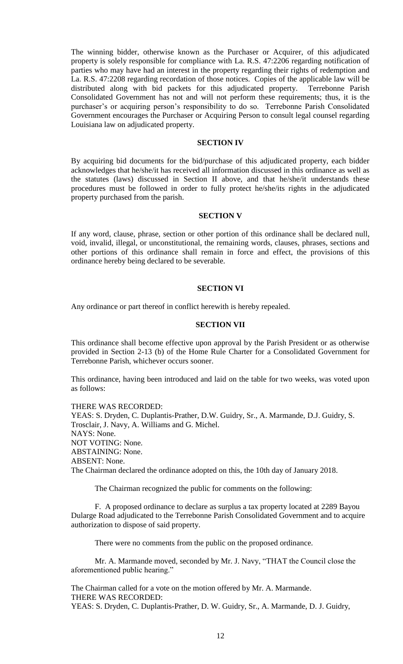The winning bidder, otherwise known as the Purchaser or Acquirer, of this adjudicated property is solely responsible for compliance with La. R.S. 47:2206 regarding notification of parties who may have had an interest in the property regarding their rights of redemption and La. R.S. 47:2208 regarding recordation of those notices. Copies of the applicable law will be distributed along with bid packets for this adjudicated property. Terrebonne Parish Consolidated Government has not and will not perform these requirements; thus, it is the purchaser's or acquiring person's responsibility to do so. Terrebonne Parish Consolidated Government encourages the Purchaser or Acquiring Person to consult legal counsel regarding Louisiana law on adjudicated property.

## **SECTION IV**

By acquiring bid documents for the bid/purchase of this adjudicated property, each bidder acknowledges that he/she/it has received all information discussed in this ordinance as well as the statutes (laws) discussed in Section II above, and that he/she/it understands these procedures must be followed in order to fully protect he/she/its rights in the adjudicated property purchased from the parish.

## **SECTION V**

If any word, clause, phrase, section or other portion of this ordinance shall be declared null, void, invalid, illegal, or unconstitutional, the remaining words, clauses, phrases, sections and other portions of this ordinance shall remain in force and effect, the provisions of this ordinance hereby being declared to be severable.

# **SECTION VI**

Any ordinance or part thereof in conflict herewith is hereby repealed.

## **SECTION VII**

This ordinance shall become effective upon approval by the Parish President or as otherwise provided in Section 2-13 (b) of the Home Rule Charter for a Consolidated Government for Terrebonne Parish, whichever occurs sooner.

This ordinance, having been introduced and laid on the table for two weeks, was voted upon as follows:

THERE WAS RECORDED: YEAS: S. Dryden, C. Duplantis-Prather, D.W. Guidry, Sr., A. Marmande, D.J. Guidry, S. Trosclair, J. Navy, A. Williams and G. Michel. NAYS: None. NOT VOTING: None. ABSTAINING: None. ABSENT: None. The Chairman declared the ordinance adopted on this, the 10th day of January 2018.

The Chairman recognized the public for comments on the following:

F. A proposed ordinance to declare as surplus a tax property located at 2289 Bayou Dularge Road adjudicated to the Terrebonne Parish Consolidated Government and to acquire authorization to dispose of said property.

There were no comments from the public on the proposed ordinance.

Mr. A. Marmande moved, seconded by Mr. J. Navy, "THAT the Council close the aforementioned public hearing."

The Chairman called for a vote on the motion offered by Mr. A. Marmande. THERE WAS RECORDED: YEAS: S. Dryden, C. Duplantis-Prather, D. W. Guidry, Sr., A. Marmande, D. J. Guidry,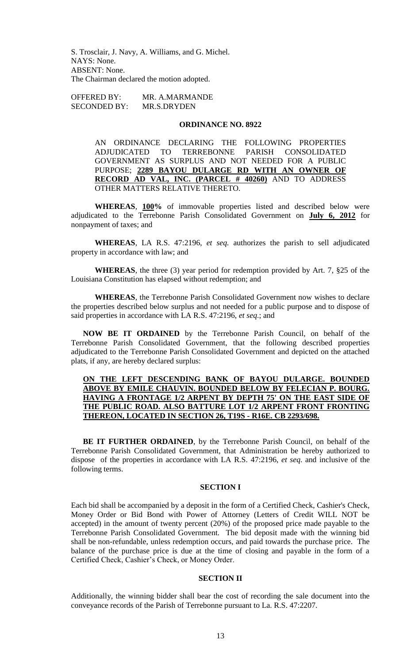S. Trosclair, J. Navy, A. Williams, and G. Michel. NAYS: None. ABSENT: None. The Chairman declared the motion adopted.

OFFERED BY: MR. A.MARMANDE SECONDED BY: MR.S.DRYDEN

## **ORDINANCE NO. 8922**

AN ORDINANCE DECLARING THE FOLLOWING PROPERTIES ADJUDICATED TO TERREBONNE PARISH CONSOLIDATED GOVERNMENT AS SURPLUS AND NOT NEEDED FOR A PUBLIC PURPOSE; **2289 BAYOU DULARGE RD WITH AN OWNER OF RECORD AD VAL, INC. (PARCEL # 40260)** AND TO ADDRESS OTHER MATTERS RELATIVE THERETO.

**WHEREAS**, **100%** of immovable properties listed and described below were adjudicated to the Terrebonne Parish Consolidated Government on **July 6, 2012** for nonpayment of taxes; and

**WHEREAS**, LA R.S. 47:2196, *et seq.* authorizes the parish to sell adjudicated property in accordance with law; and

**WHEREAS**, the three (3) year period for redemption provided by Art. 7, §25 of the Louisiana Constitution has elapsed without redemption; and

**WHEREAS**, the Terrebonne Parish Consolidated Government now wishes to declare the properties described below surplus and not needed for a public purpose and to dispose of said properties in accordance with LA R.S. 47:2196, *et seq*.; and

**NOW BE IT ORDAINED** by the Terrebonne Parish Council, on behalf of the Terrebonne Parish Consolidated Government, that the following described properties adjudicated to the Terrebonne Parish Consolidated Government and depicted on the attached plats, if any, are hereby declared surplus:

# **ON THE LEFT DESCENDING BANK OF BAYOU DULARGE. BOUNDED ABOVE BY EMILE CHAUVIN. BOUNDED BELOW BY FELECIAN P. BOURG. HAVING A FRONTAGE 1/2 ARPENT BY DEPTH 75' ON THE EAST SIDE OF THE PUBLIC ROAD. ALSO BATTURE LOT 1/2 ARPENT FRONT FRONTING THEREON, LOCATED IN SECTION 26, T19S - R16E. CB 2293/698.**

**BE IT FURTHER ORDAINED**, by the Terrebonne Parish Council, on behalf of the Terrebonne Parish Consolidated Government, that Administration be hereby authorized to dispose of the properties in accordance with LA R.S. 47:2196, *et seq*. and inclusive of the following terms.

### **SECTION I**

Each bid shall be accompanied by a deposit in the form of a Certified Check, Cashier's Check, Money Order or Bid Bond with Power of Attorney (Letters of Credit WILL NOT be accepted) in the amount of twenty percent (20%) of the proposed price made payable to the Terrebonne Parish Consolidated Government. The bid deposit made with the winning bid shall be non-refundable, unless redemption occurs, and paid towards the purchase price. The balance of the purchase price is due at the time of closing and payable in the form of a Certified Check, Cashier's Check, or Money Order.

## **SECTION II**

Additionally, the winning bidder shall bear the cost of recording the sale document into the conveyance records of the Parish of Terrebonne pursuant to La. R.S. 47:2207.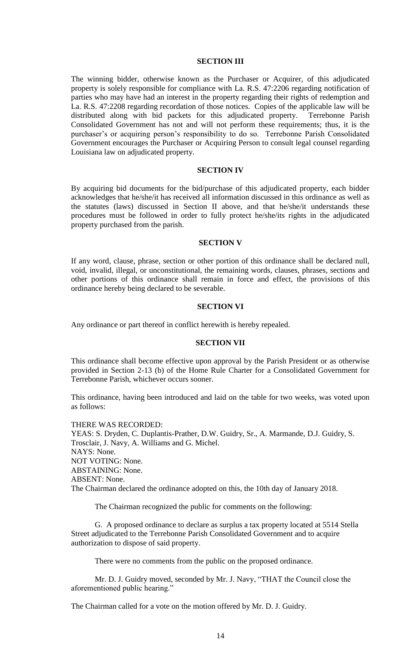## **SECTION III**

The winning bidder, otherwise known as the Purchaser or Acquirer, of this adjudicated property is solely responsible for compliance with La. R.S. 47:2206 regarding notification of parties who may have had an interest in the property regarding their rights of redemption and La. R.S. 47:2208 regarding recordation of those notices. Copies of the applicable law will be distributed along with bid packets for this adjudicated property. Terrebonne Parish Consolidated Government has not and will not perform these requirements; thus, it is the purchaser's or acquiring person's responsibility to do so. Terrebonne Parish Consolidated Government encourages the Purchaser or Acquiring Person to consult legal counsel regarding Louisiana law on adjudicated property.

#### **SECTION IV**

By acquiring bid documents for the bid/purchase of this adjudicated property, each bidder acknowledges that he/she/it has received all information discussed in this ordinance as well as the statutes (laws) discussed in Section II above, and that he/she/it understands these procedures must be followed in order to fully protect he/she/its rights in the adjudicated property purchased from the parish.

### **SECTION V**

If any word, clause, phrase, section or other portion of this ordinance shall be declared null, void, invalid, illegal, or unconstitutional, the remaining words, clauses, phrases, sections and other portions of this ordinance shall remain in force and effect, the provisions of this ordinance hereby being declared to be severable.

## **SECTION VI**

Any ordinance or part thereof in conflict herewith is hereby repealed.

### **SECTION VII**

This ordinance shall become effective upon approval by the Parish President or as otherwise provided in Section 2-13 (b) of the Home Rule Charter for a Consolidated Government for Terrebonne Parish, whichever occurs sooner.

This ordinance, having been introduced and laid on the table for two weeks, was voted upon as follows:

THERE WAS RECORDED: YEAS: S. Dryden, C. Duplantis-Prather, D.W. Guidry, Sr., A. Marmande, D.J. Guidry, S. Trosclair, J. Navy, A. Williams and G. Michel. NAYS: None. NOT VOTING: None. ABSTAINING: None. ABSENT: None. The Chairman declared the ordinance adopted on this, the 10th day of January 2018.

The Chairman recognized the public for comments on the following:

G. A proposed ordinance to declare as surplus a tax property located at 5514 Stella Street adjudicated to the Terrebonne Parish Consolidated Government and to acquire authorization to dispose of said property.

There were no comments from the public on the proposed ordinance.

Mr. D. J. Guidry moved, seconded by Mr. J. Navy, "THAT the Council close the aforementioned public hearing."

The Chairman called for a vote on the motion offered by Mr. D. J. Guidry.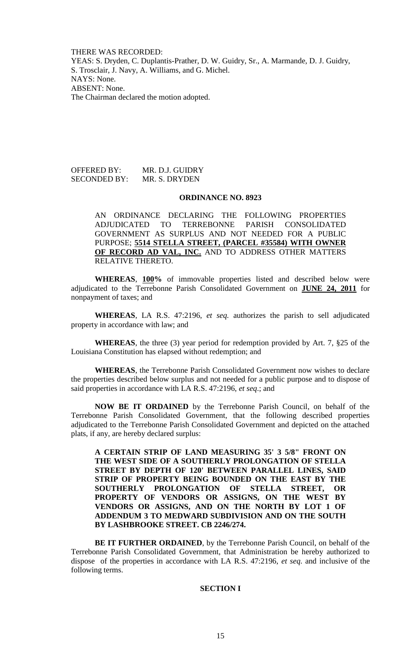THERE WAS RECORDED: YEAS: S. Dryden, C. Duplantis-Prather, D. W. Guidry, Sr., A. Marmande, D. J. Guidry, S. Trosclair, J. Navy, A. Williams, and G. Michel.

NAYS: None. ABSENT: None. The Chairman declared the motion adopted.

OFFERED BY: MR. D.J. GUIDRY SECONDED BY: MR. S. DRYDEN

### **ORDINANCE NO. 8923**

AN ORDINANCE DECLARING THE FOLLOWING PROPERTIES ADJUDICATED TO TERREBONNE PARISH CONSOLIDATED GOVERNMENT AS SURPLUS AND NOT NEEDED FOR A PUBLIC PURPOSE; **5514 STELLA STREET, (PARCEL #35584) WITH OWNER OF RECORD AD VAL, INC.** AND TO ADDRESS OTHER MATTERS RELATIVE THERETO.

**WHEREAS**, **100%** of immovable properties listed and described below were adjudicated to the Terrebonne Parish Consolidated Government on **JUNE 24, 2011** for nonpayment of taxes; and

**WHEREAS**, LA R.S. 47:2196, *et seq.* authorizes the parish to sell adjudicated property in accordance with law; and

**WHEREAS**, the three (3) year period for redemption provided by Art. 7, §25 of the Louisiana Constitution has elapsed without redemption; and

**WHEREAS**, the Terrebonne Parish Consolidated Government now wishes to declare the properties described below surplus and not needed for a public purpose and to dispose of said properties in accordance with LA R.S. 47:2196, *et seq*.; and

**NOW BE IT ORDAINED** by the Terrebonne Parish Council, on behalf of the Terrebonne Parish Consolidated Government, that the following described properties adjudicated to the Terrebonne Parish Consolidated Government and depicted on the attached plats, if any, are hereby declared surplus:

**A CERTAIN STRIP OF LAND MEASURING 35' 3 5/8" FRONT ON THE WEST SIDE OF A SOUTHERLY PROLONGATION OF STELLA STREET BY DEPTH OF 120' BETWEEN PARALLEL LINES, SAID STRIP OF PROPERTY BEING BOUNDED ON THE EAST BY THE SOUTHERLY PROLONGATION OF STELLA STREET, OR PROPERTY OF VENDORS OR ASSIGNS, ON THE WEST BY VENDORS OR ASSIGNS, AND ON THE NORTH BY LOT 1 OF ADDENDUM 3 TO MEDWARD SUBDIVISION AND ON THE SOUTH BY LASHBROOKE STREET. CB 2246/274.**

**BE IT FURTHER ORDAINED**, by the Terrebonne Parish Council, on behalf of the Terrebonne Parish Consolidated Government, that Administration be hereby authorized to dispose of the properties in accordance with LA R.S. 47:2196, *et seq*. and inclusive of the following terms.

## **SECTION I**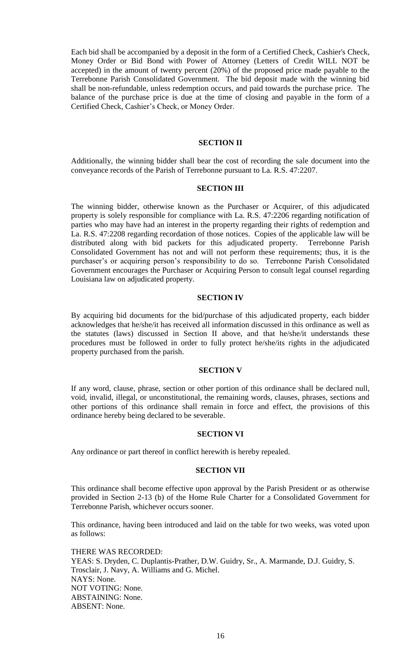Each bid shall be accompanied by a deposit in the form of a Certified Check, Cashier's Check, Money Order or Bid Bond with Power of Attorney (Letters of Credit WILL NOT be accepted) in the amount of twenty percent (20%) of the proposed price made payable to the Terrebonne Parish Consolidated Government. The bid deposit made with the winning bid shall be non-refundable, unless redemption occurs, and paid towards the purchase price. The balance of the purchase price is due at the time of closing and payable in the form of a Certified Check, Cashier's Check, or Money Order.

## **SECTION II**

Additionally, the winning bidder shall bear the cost of recording the sale document into the conveyance records of the Parish of Terrebonne pursuant to La. R.S. 47:2207.

#### **SECTION III**

The winning bidder, otherwise known as the Purchaser or Acquirer, of this adjudicated property is solely responsible for compliance with La. R.S. 47:2206 regarding notification of parties who may have had an interest in the property regarding their rights of redemption and La. R.S. 47:2208 regarding recordation of those notices. Copies of the applicable law will be distributed along with bid packets for this adjudicated property. Terrebonne Parish Consolidated Government has not and will not perform these requirements; thus, it is the purchaser's or acquiring person's responsibility to do so. Terrebonne Parish Consolidated Government encourages the Purchaser or Acquiring Person to consult legal counsel regarding Louisiana law on adjudicated property.

## **SECTION IV**

By acquiring bid documents for the bid/purchase of this adjudicated property, each bidder acknowledges that he/she/it has received all information discussed in this ordinance as well as the statutes (laws) discussed in Section II above, and that he/she/it understands these procedures must be followed in order to fully protect he/she/its rights in the adjudicated property purchased from the parish.

# **SECTION V**

If any word, clause, phrase, section or other portion of this ordinance shall be declared null, void, invalid, illegal, or unconstitutional, the remaining words, clauses, phrases, sections and other portions of this ordinance shall remain in force and effect, the provisions of this ordinance hereby being declared to be severable.

### **SECTION VI**

Any ordinance or part thereof in conflict herewith is hereby repealed.

#### **SECTION VII**

This ordinance shall become effective upon approval by the Parish President or as otherwise provided in Section 2-13 (b) of the Home Rule Charter for a Consolidated Government for Terrebonne Parish, whichever occurs sooner.

This ordinance, having been introduced and laid on the table for two weeks, was voted upon as follows:

THERE WAS RECORDED: YEAS: S. Dryden, C. Duplantis-Prather, D.W. Guidry, Sr., A. Marmande, D.J. Guidry, S. Trosclair, J. Navy, A. Williams and G. Michel. NAYS: None. NOT VOTING: None. ABSTAINING: None. ABSENT: None.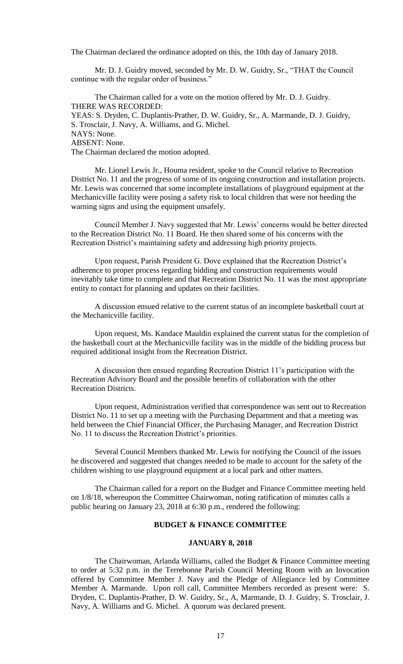The Chairman declared the ordinance adopted on this, the 10th day of January 2018.

Mr. D. J. Guidry moved, seconded by Mr. D. W. Guidry, Sr., "THAT the Council continue with the regular order of business."

The Chairman called for a vote on the motion offered by Mr. D. J. Guidry. THERE WAS RECORDED: YEAS: S. Dryden, C. Duplantis-Prather, D. W. Guidry, Sr., A. Marmande, D. J. Guidry, S. Trosclair, J. Navy, A. Williams, and G. Michel. NAYS: None. ABSENT: None. The Chairman declared the motion adopted.

Mr. Lionel Lewis Jr., Houma resident, spoke to the Council relative to Recreation District No. 11 and the progress of some of its ongoing construction and installation projects. Mr. Lewis was concerned that some incomplete installations of playground equipment at the Mechanicville facility were posing a safety risk to local children that were not heeding the warning signs and using the equipment unsafely.

Council Member J. Navy suggested that Mr. Lewis' concerns would be better directed to the Recreation District No. 11 Board. He then shared some of his concerns with the Recreation District's maintaining safety and addressing high priority projects.

Upon request, Parish President G. Dove explained that the Recreation District's adherence to proper process regarding bidding and construction requirements would inevitably take time to complete and that Recreation District No. 11 was the most appropriate entity to contact for planning and updates on their facilities.

A discussion ensued relative to the current status of an incomplete basketball court at the Mechanicville facility.

Upon request, Ms. Kandace Mauldin explained the current status for the completion of the basketball court at the Mechanicville facility was in the middle of the bidding process but required additional insight from the Recreation District.

A discussion then ensued regarding Recreation District 11's participation with the Recreation Advisory Board and the possible benefits of collaboration with the other Recreation Districts.

Upon request, Administration verified that correspondence was sent out to Recreation District No. 11 to set up a meeting with the Purchasing Department and that a meeting was held between the Chief Financial Officer, the Purchasing Manager, and Recreation District No. 11 to discuss the Recreation District's priorities.

Several Council Members thanked Mr. Lewis for notifying the Council of the issues he discovered and suggested that changes needed to be made to account for the safety of the children wishing to use playground equipment at a local park and other matters.

The Chairman called for a report on the Budget and Finance Committee meeting held on 1/8/18, whereupon the Committee Chairwoman, noting ratification of minutes calls a public hearing on January 23, 2018 at 6:30 p.m., rendered the following:

# **BUDGET & FINANCE COMMITTEE**

## **JANUARY 8, 2018**

The Chairwoman, Arlanda Williams, called the Budget & Finance Committee meeting to order at 5:32 p.m. in the Terrebonne Parish Council Meeting Room with an Invocation offered by Committee Member J. Navy and the Pledge of Allegiance led by Committee Member A. Marmande. Upon roll call, Committee Members recorded as present were: S. Dryden, C. Duplantis-Prather, D. W. Guidry, Sr., A, Marmande, D. J. Guidry, S. Trosclair, J. Navy, A. Williams and G. Michel. A quorum was declared present.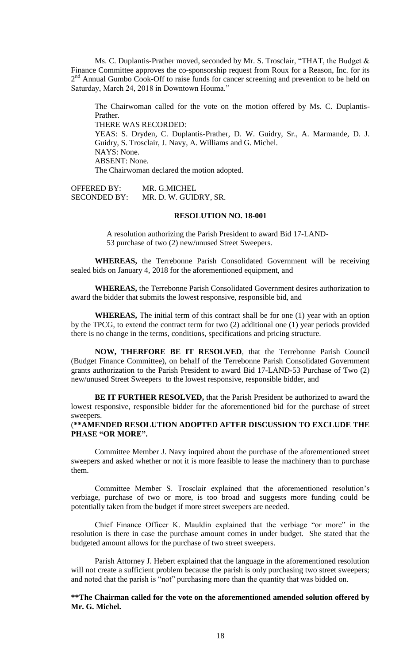Ms. C. Duplantis-Prather moved, seconded by Mr. S. Trosclair, "THAT, the Budget & Finance Committee approves the co-sponsorship request from Roux for a Reason, Inc. for its 2<sup>nd</sup> Annual Gumbo Cook-Off to raise funds for cancer screening and prevention to be held on Saturday, March 24, 2018 in Downtown Houma."

The Chairwoman called for the vote on the motion offered by Ms. C. Duplantis-Prather. THERE WAS RECORDED: YEAS: S. Dryden, C. Duplantis-Prather, D. W. Guidry, Sr., A. Marmande, D. J. Guidry, S. Trosclair, J. Navy, A. Williams and G. Michel. NAYS: None. ABSENT: None. The Chairwoman declared the motion adopted.

OFFERED BY: MR. G.MICHEL SECONDED BY: MR. D. W. GUIDRY, SR.

## **RESOLUTION NO. 18-001**

A resolution authorizing the Parish President to award Bid 17-LAND-53 purchase of two (2) new/unused Street Sweepers.

**WHEREAS,** the Terrebonne Parish Consolidated Government will be receiving sealed bids on January 4, 2018 for the aforementioned equipment, and

**WHEREAS,** the Terrebonne Parish Consolidated Government desires authorization to award the bidder that submits the lowest responsive, responsible bid, and

**WHEREAS,** The initial term of this contract shall be for one (1) year with an option by the TPCG, to extend the contract term for two (2) additional one (1) year periods provided there is no change in the terms, conditions, specifications and pricing structure.

**NOW, THERFORE BE IT RESOLVED**, that the Terrebonne Parish Council (Budget Finance Committee), on behalf of the Terrebonne Parish Consolidated Government grants authorization to the Parish President to award Bid 17-LAND-53 Purchase of Two (2) new/unused Street Sweepers to the lowest responsive, responsible bidder, and

**BE IT FURTHER RESOLVED,** that the Parish President be authorized to award the lowest responsive, responsible bidder for the aforementioned bid for the purchase of street sweepers.

# (**\*\*AMENDED RESOLUTION ADOPTED AFTER DISCUSSION TO EXCLUDE THE PHASE "OR MORE".**

Committee Member J. Navy inquired about the purchase of the aforementioned street sweepers and asked whether or not it is more feasible to lease the machinery than to purchase them.

Committee Member S. Trosclair explained that the aforementioned resolution's verbiage, purchase of two or more, is too broad and suggests more funding could be potentially taken from the budget if more street sweepers are needed.

Chief Finance Officer K. Mauldin explained that the verbiage "or more" in the resolution is there in case the purchase amount comes in under budget. She stated that the budgeted amount allows for the purchase of two street sweepers.

Parish Attorney J. Hebert explained that the language in the aforementioned resolution will not create a sufficient problem because the parish is only purchasing two street sweepers; and noted that the parish is "not" purchasing more than the quantity that was bidded on.

**\*\*The Chairman called for the vote on the aforementioned amended solution offered by Mr. G. Michel.**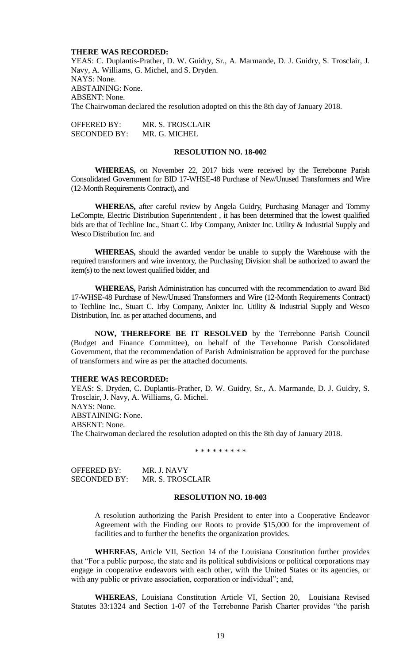## **THERE WAS RECORDED:**

YEAS: C. Duplantis-Prather, D. W. Guidry, Sr., A. Marmande, D. J. Guidry, S. Trosclair, J. Navy, A. Williams, G. Michel, and S. Dryden. NAYS: None. ABSTAINING: None. ABSENT: None. The Chairwoman declared the resolution adopted on this the 8th day of January 2018.

OFFERED BY: MR. S. TROSCLAIR SECONDED BY: MR. G. MICHEL

## **RESOLUTION NO. 18-002**

**WHEREAS,** on November 22, 2017 bids were received by the Terrebonne Parish Consolidated Government for BID 17-WHSE-48 Purchase of New/Unused Transformers and Wire (12-Month Requirements Contract)**,** and

**WHEREAS,** after careful review by Angela Guidry, Purchasing Manager and Tommy LeCompte, Electric Distribution Superintendent , it has been determined that the lowest qualified bids are that of Techline Inc., Stuart C. Irby Company, Anixter Inc. Utility & Industrial Supply and Wesco Distribution Inc. and

**WHEREAS,** should the awarded vendor be unable to supply the Warehouse with the required transformers and wire inventory, the Purchasing Division shall be authorized to award the item(s) to the next lowest qualified bidder, and

**WHEREAS,** Parish Administration has concurred with the recommendation to award Bid 17-WHSE-48 Purchase of New/Unused Transformers and Wire (12-Month Requirements Contract) to Techline Inc., Stuart C. Irby Company, Anixter Inc. Utility & Industrial Supply and Wesco Distribution, Inc. as per attached documents, and

**NOW, THEREFORE BE IT RESOLVED** by the Terrebonne Parish Council (Budget and Finance Committee), on behalf of the Terrebonne Parish Consolidated Government, that the recommendation of Parish Administration be approved for the purchase of transformers and wire as per the attached documents.

## **THERE WAS RECORDED:**

YEAS: S. Dryden, C. Duplantis-Prather, D. W. Guidry, Sr., A. Marmande, D. J. Guidry, S. Trosclair, J. Navy, A. Williams, G. Michel. NAYS: None. ABSTAINING: None. ABSENT: None. The Chairwoman declared the resolution adopted on this the 8th day of January 2018.

\* \* \* \* \* \* \* \* \*

OFFERED BY: MR. J. NAVY SECONDED BY: MR. S. TROSCLAIR

### **RESOLUTION NO. 18-003**

A resolution authorizing the Parish President to enter into a Cooperative Endeavor Agreement with the Finding our Roots to provide \$15,000 for the improvement of facilities and to further the benefits the organization provides.

**WHEREAS**, Article VII, Section 14 of the Louisiana Constitution further provides that "For a public purpose, the state and its political subdivisions or political corporations may engage in cooperative endeavors with each other, with the United States or its agencies, or with any public or private association, corporation or individual"; and,

**WHEREAS**, Louisiana Constitution Article VI, Section 20, Louisiana Revised Statutes 33:1324 and Section 1-07 of the Terrebonne Parish Charter provides "the parish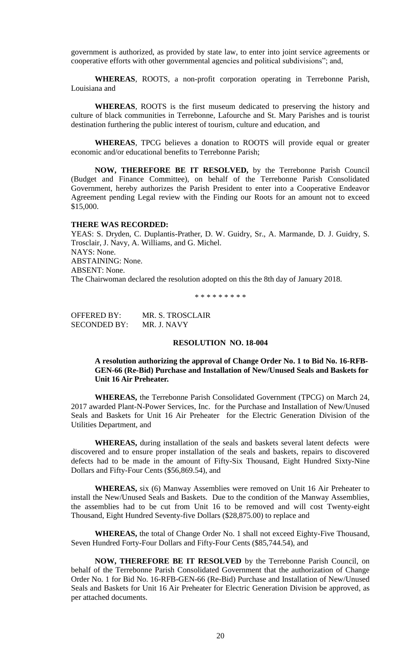government is authorized, as provided by state law, to enter into joint service agreements or cooperative efforts with other governmental agencies and political subdivisions"; and,

**WHEREAS**, ROOTS, a non-profit corporation operating in Terrebonne Parish, Louisiana and

**WHEREAS**, ROOTS is the first museum dedicated to preserving the history and culture of black communities in Terrebonne, Lafourche and St. Mary Parishes and is tourist destination furthering the public interest of tourism, culture and education, and

**WHEREAS**, TPCG believes a donation to ROOTS will provide equal or greater economic and/or educational benefits to Terrebonne Parish;

**NOW, THEREFORE BE IT RESOLVED,** by the Terrebonne Parish Council (Budget and Finance Committee), on behalf of the Terrebonne Parish Consolidated Government, hereby authorizes the Parish President to enter into a Cooperative Endeavor Agreement pending Legal review with the Finding our Roots for an amount not to exceed \$15,000.

## **THERE WAS RECORDED:**

YEAS: S. Dryden, C. Duplantis-Prather, D. W. Guidry, Sr., A. Marmande, D. J. Guidry, S. Trosclair, J. Navy, A. Williams, and G. Michel. NAYS: None. ABSTAINING: None. ABSENT: None. The Chairwoman declared the resolution adopted on this the 8th day of January 2018.

\* \* \* \* \* \* \* \* \*

OFFERED BY: MR. S. TROSCLAIR<br>SECONDED BY: MR. J. NAVY SECONDED BY:

### **RESOLUTION NO. 18-004**

# **A resolution authorizing the approval of Change Order No. 1 to Bid No. 16-RFB-GEN-66 (Re-Bid) Purchase and Installation of New/Unused Seals and Baskets for Unit 16 Air Preheater.**

**WHEREAS,** the Terrebonne Parish Consolidated Government (TPCG) on March 24, 2017 awarded Plant-N-Power Services, Inc. for the Purchase and Installation of New/Unused Seals and Baskets for Unit 16 Air Preheater for the Electric Generation Division of the Utilities Department, and

**WHEREAS,** during installation of the seals and baskets several latent defects were discovered and to ensure proper installation of the seals and baskets, repairs to discovered defects had to be made in the amount of Fifty-Six Thousand, Eight Hundred Sixty-Nine Dollars and Fifty-Four Cents (\$56,869.54), and

**WHEREAS,** six (6) Manway Assemblies were removed on Unit 16 Air Preheater to install the New/Unused Seals and Baskets. Due to the condition of the Manway Assemblies, the assemblies had to be cut from Unit 16 to be removed and will cost Twenty-eight Thousand, Eight Hundred Seventy-five Dollars (\$28,875.00) to replace and

**WHEREAS,** the total of Change Order No. 1 shall not exceed Eighty-Five Thousand, Seven Hundred Forty-Four Dollars and Fifty-Four Cents (\$85,744.54), and

**NOW, THEREFORE BE IT RESOLVED** by the Terrebonne Parish Council, on behalf of the Terrebonne Parish Consolidated Government that the authorization of Change Order No. 1 for Bid No. 16-RFB-GEN-66 (Re-Bid) Purchase and Installation of New/Unused Seals and Baskets for Unit 16 Air Preheater for Electric Generation Division be approved, as per attached documents.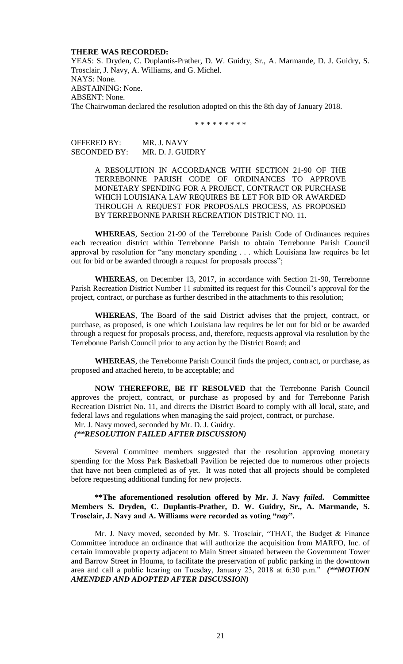### **THERE WAS RECORDED:**

YEAS: S. Dryden, C. Duplantis-Prather, D. W. Guidry, Sr., A. Marmande, D. J. Guidry, S. Trosclair, J. Navy, A. Williams, and G. Michel. NAYS: None. ABSTAINING: None. ABSENT: None. The Chairwoman declared the resolution adopted on this the 8th day of January 2018.

\* \* \* \* \* \* \* \* \*

OFFERED BY: MR. J. NAVY SECONDED BY: MR. D. J. GUIDRY

> A RESOLUTION IN ACCORDANCE WITH SECTION 21-90 OF THE TERREBONNE PARISH CODE OF ORDINANCES TO APPROVE MONETARY SPENDING FOR A PROJECT, CONTRACT OR PURCHASE WHICH LOUISIANA LAW REQUIRES BE LET FOR BID OR AWARDED THROUGH A REQUEST FOR PROPOSALS PROCESS, AS PROPOSED BY TERREBONNE PARISH RECREATION DISTRICT NO. 11.

**WHEREAS**, Section 21-90 of the Terrebonne Parish Code of Ordinances requires each recreation district within Terrebonne Parish to obtain Terrebonne Parish Council approval by resolution for "any monetary spending . . . which Louisiana law requires be let out for bid or be awarded through a request for proposals process";

**WHEREAS**, on December 13, 2017, in accordance with Section 21-90, Terrebonne Parish Recreation District Number 11 submitted its request for this Council's approval for the project, contract, or purchase as further described in the attachments to this resolution;

**WHEREAS**, The Board of the said District advises that the project, contract, or purchase, as proposed, is one which Louisiana law requires be let out for bid or be awarded through a request for proposals process, and, therefore, requests approval via resolution by the Terrebonne Parish Council prior to any action by the District Board; and

**WHEREAS**, the Terrebonne Parish Council finds the project, contract, or purchase, as proposed and attached hereto, to be acceptable; and

**NOW THEREFORE, BE IT RESOLVED** that the Terrebonne Parish Council approves the project, contract, or purchase as proposed by and for Terrebonne Parish Recreation District No. 11, and directs the District Board to comply with all local, state, and federal laws and regulations when managing the said project, contract, or purchase.

Mr. J. Navy moved, seconded by Mr. D. J. Guidry.

# *(\*\*RESOLUTION FAILED AFTER DISCUSSION)*

Several Committee members suggested that the resolution approving monetary spending for the Moss Park Basketball Pavilion be rejected due to numerous other projects that have not been completed as of yet. It was noted that all projects should be completed before requesting additional funding for new projects.

## **\*\*The aforementioned resolution offered by Mr. J. Navy** *failed***. Committee Members S. Dryden, C. Duplantis-Prather, D. W. Guidry, Sr., A. Marmande, S. Trosclair, J. Navy and A. Williams were recorded as voting "***nay***".**

Mr. J. Navy moved, seconded by Mr. S. Trosclair, "THAT, the Budget & Finance Committee introduce an ordinance that will authorize the acquisition from MARFO, Inc. of certain immovable property adjacent to Main Street situated between the Government Tower and Barrow Street in Houma, to facilitate the preservation of public parking in the downtown area and call a public hearing on Tuesday, January 23, 2018 at 6:30 p.m." *(\*\*MOTION AMENDED AND ADOPTED AFTER DISCUSSION)*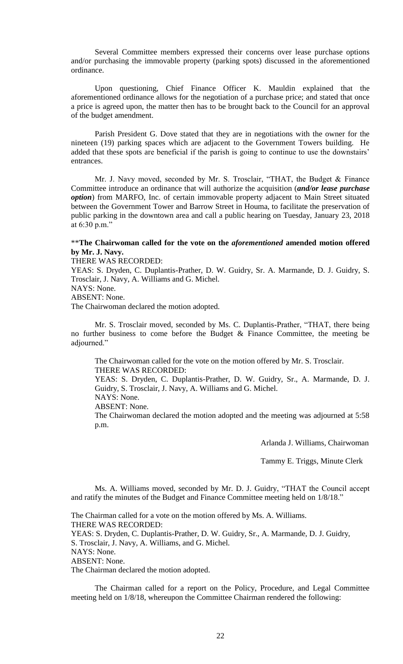Several Committee members expressed their concerns over lease purchase options and/or purchasing the immovable property (parking spots) discussed in the aforementioned ordinance.

Upon questioning, Chief Finance Officer K. Mauldin explained that the aforementioned ordinance allows for the negotiation of a purchase price; and stated that once a price is agreed upon, the matter then has to be brought back to the Council for an approval of the budget amendment.

Parish President G. Dove stated that they are in negotiations with the owner for the nineteen (19) parking spaces which are adjacent to the Government Towers building. He added that these spots are beneficial if the parish is going to continue to use the downstairs' entrances.

Mr. J. Navy moved, seconded by Mr. S. Trosclair, "THAT, the Budget & Finance Committee introduce an ordinance that will authorize the acquisition (*and/or lease purchase option*) from MARFO, Inc. of certain immovable property adjacent to Main Street situated between the Government Tower and Barrow Street in Houma, to facilitate the preservation of public parking in the downtown area and call a public hearing on Tuesday, January 23, 2018 at 6:30 p.m."

## \*\***The Chairwoman called for the vote on the** *aforementioned* **amended motion offered by Mr. J. Navy.**

THERE WAS RECORDED:

YEAS: S. Dryden, C. Duplantis-Prather, D. W. Guidry, Sr. A. Marmande, D. J. Guidry, S. Trosclair, J. Navy, A. Williams and G. Michel.

NAYS: None.

ABSENT: None.

The Chairwoman declared the motion adopted.

Mr. S. Trosclair moved, seconded by Ms. C. Duplantis-Prather, "THAT, there being no further business to come before the Budget  $\&$  Finance Committee, the meeting be adjourned."

The Chairwoman called for the vote on the motion offered by Mr. S. Trosclair. THERE WAS RECORDED: YEAS: S. Dryden, C. Duplantis-Prather, D. W. Guidry, Sr., A. Marmande, D. J. Guidry, S. Trosclair, J. Navy, A. Williams and G. Michel. NAYS: None. ABSENT: None. The Chairwoman declared the motion adopted and the meeting was adjourned at 5:58 p.m.

Arlanda J. Williams, Chairwoman

Tammy E. Triggs, Minute Clerk

Ms. A. Williams moved, seconded by Mr. D. J. Guidry, "THAT the Council accept and ratify the minutes of the Budget and Finance Committee meeting held on 1/8/18."

The Chairman called for a vote on the motion offered by Ms. A. Williams. THERE WAS RECORDED: YEAS: S. Dryden, C. Duplantis-Prather, D. W. Guidry, Sr., A. Marmande, D. J. Guidry, S. Trosclair, J. Navy, A. Williams, and G. Michel. NAYS: None. ABSENT: None. The Chairman declared the motion adopted.

The Chairman called for a report on the Policy, Procedure, and Legal Committee meeting held on 1/8/18, whereupon the Committee Chairman rendered the following: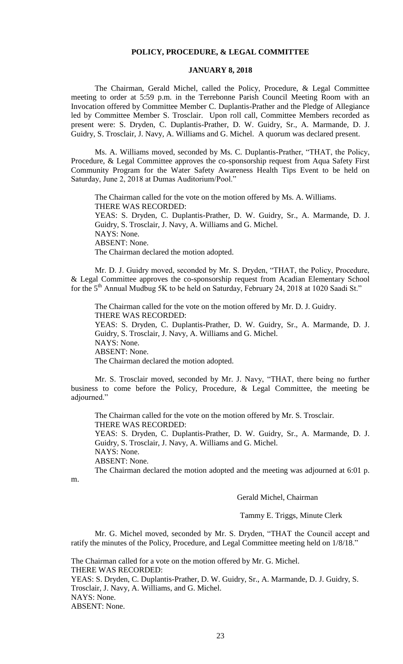## **POLICY, PROCEDURE, & LEGAL COMMITTEE**

## **JANUARY 8, 2018**

The Chairman, Gerald Michel, called the Policy, Procedure, & Legal Committee meeting to order at 5:59 p.m. in the Terrebonne Parish Council Meeting Room with an Invocation offered by Committee Member C. Duplantis-Prather and the Pledge of Allegiance led by Committee Member S. Trosclair. Upon roll call, Committee Members recorded as present were: S. Dryden, C. Duplantis-Prather, D. W. Guidry, Sr., A. Marmande, D. J. Guidry, S. Trosclair, J. Navy, A. Williams and G. Michel. A quorum was declared present.

Ms. A. Williams moved, seconded by Ms. C. Duplantis-Prather, "THAT, the Policy, Procedure, & Legal Committee approves the co-sponsorship request from Aqua Safety First Community Program for the Water Safety Awareness Health Tips Event to be held on Saturday, June 2, 2018 at Dumas Auditorium/Pool."

The Chairman called for the vote on the motion offered by Ms. A. Williams. THERE WAS RECORDED: YEAS: S. Dryden, C. Duplantis-Prather, D. W. Guidry, Sr., A. Marmande, D. J. Guidry, S. Trosclair, J. Navy, A. Williams and G. Michel. NAYS: None. ABSENT: None. The Chairman declared the motion adopted.

Mr. D. J. Guidry moved, seconded by Mr. S. Dryden, "THAT, the Policy, Procedure, & Legal Committee approves the co-sponsorship request from Acadian Elementary School for the 5<sup>th</sup> Annual Mudbug 5K to be held on Saturday, February 24, 2018 at 1020 Saadi St."

The Chairman called for the vote on the motion offered by Mr. D. J. Guidry. THERE WAS RECORDED: YEAS: S. Dryden, C. Duplantis-Prather, D. W. Guidry, Sr., A. Marmande, D. J. Guidry, S. Trosclair, J. Navy, A. Williams and G. Michel. NAYS: None. ABSENT: None. The Chairman declared the motion adopted.

Mr. S. Trosclair moved, seconded by Mr. J. Navy, "THAT, there being no further business to come before the Policy, Procedure, & Legal Committee, the meeting be adjourned."

The Chairman called for the vote on the motion offered by Mr. S. Trosclair. THERE WAS RECORDED: YEAS: S. Dryden, C. Duplantis-Prather, D. W. Guidry, Sr., A. Marmande, D. J. Guidry, S. Trosclair, J. Navy, A. Williams and G. Michel. NAYS: None. ABSENT: None.

The Chairman declared the motion adopted and the meeting was adjourned at 6:01 p.

m.

Gerald Michel, Chairman

Tammy E. Triggs, Minute Clerk

Mr. G. Michel moved, seconded by Mr. S. Dryden, "THAT the Council accept and ratify the minutes of the Policy, Procedure, and Legal Committee meeting held on 1/8/18."

The Chairman called for a vote on the motion offered by Mr. G. Michel. THERE WAS RECORDED: YEAS: S. Dryden, C. Duplantis-Prather, D. W. Guidry, Sr., A. Marmande, D. J. Guidry, S. Trosclair, J. Navy, A. Williams, and G. Michel. NAYS: None. ABSENT: None.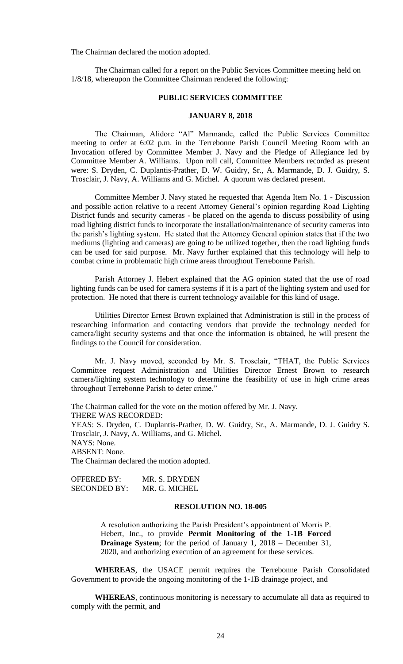The Chairman declared the motion adopted.

The Chairman called for a report on the Public Services Committee meeting held on 1/8/18, whereupon the Committee Chairman rendered the following:

## **PUBLIC SERVICES COMMITTEE**

### **JANUARY 8, 2018**

The Chairman, Alidore "Al" Marmande, called the Public Services Committee meeting to order at 6:02 p.m. in the Terrebonne Parish Council Meeting Room with an Invocation offered by Committee Member J. Navy and the Pledge of Allegiance led by Committee Member A. Williams. Upon roll call, Committee Members recorded as present were: S. Dryden, C. Duplantis-Prather, D. W. Guidry, Sr., A. Marmande, D. J. Guidry, S. Trosclair, J. Navy, A. Williams and G. Michel. A quorum was declared present.

Committee Member J. Navy stated he requested that Agenda Item No. 1 - Discussion and possible action relative to a recent Attorney General's opinion regarding Road Lighting District funds and security cameras - be placed on the agenda to discuss possibility of using road lighting district funds to incorporate the installation/maintenance of security cameras into the parish's lighting system. He stated that the Attorney General opinion states that if the two mediums (lighting and cameras) are going to be utilized together, then the road lighting funds can be used for said purpose. Mr. Navy further explained that this technology will help to combat crime in problematic high crime areas throughout Terrebonne Parish.

Parish Attorney J. Hebert explained that the AG opinion stated that the use of road lighting funds can be used for camera systems if it is a part of the lighting system and used for protection. He noted that there is current technology available for this kind of usage.

Utilities Director Ernest Brown explained that Administration is still in the process of researching information and contacting vendors that provide the technology needed for camera/light security systems and that once the information is obtained, he will present the findings to the Council for consideration.

Mr. J. Navy moved, seconded by Mr. S. Trosclair, "THAT, the Public Services Committee request Administration and Utilities Director Ernest Brown to research camera/lighting system technology to determine the feasibility of use in high crime areas throughout Terrebonne Parish to deter crime."

The Chairman called for the vote on the motion offered by Mr. J. Navy. THERE WAS RECORDED: YEAS: S. Dryden, C. Duplantis-Prather, D. W. Guidry, Sr., A. Marmande, D. J. Guidry S. Trosclair, J. Navy, A. Williams, and G. Michel. NAYS: None. ABSENT: None. The Chairman declared the motion adopted.

OFFERED BY: MR. S. DRYDEN SECONDED BY: MR. G. MICHEL

### **RESOLUTION NO. 18-005**

A resolution authorizing the Parish President's appointment of Morris P. Hebert, Inc., to provide **Permit Monitoring of the 1-1B Forced Drainage System**; for the period of January 1, 2018 – December 31, 2020, and authorizing execution of an agreement for these services.

**WHEREAS**, the USACE permit requires the Terrebonne Parish Consolidated Government to provide the ongoing monitoring of the 1-1B drainage project, and

**WHEREAS**, continuous monitoring is necessary to accumulate all data as required to comply with the permit, and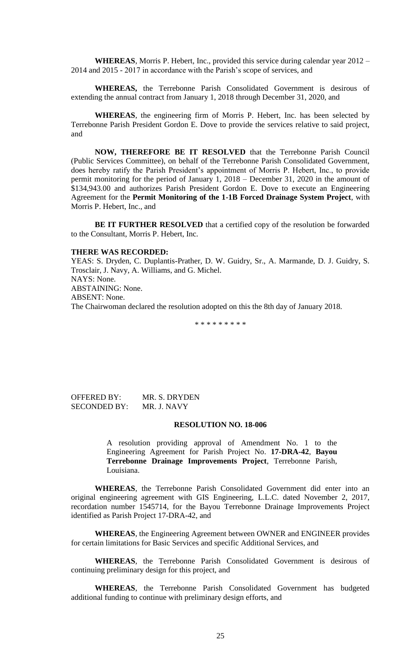**WHEREAS**, Morris P. Hebert, Inc., provided this service during calendar year 2012 – 2014 and 2015 - 2017 in accordance with the Parish's scope of services, and

**WHEREAS,** the Terrebonne Parish Consolidated Government is desirous of extending the annual contract from January 1, 2018 through December 31, 2020, and

**WHEREAS**, the engineering firm of Morris P. Hebert, Inc. has been selected by Terrebonne Parish President Gordon E. Dove to provide the services relative to said project, and

**NOW, THEREFORE BE IT RESOLVED** that the Terrebonne Parish Council (Public Services Committee), on behalf of the Terrebonne Parish Consolidated Government, does hereby ratify the Parish President's appointment of Morris P. Hebert, Inc., to provide permit monitoring for the period of January 1, 2018 – December 31, 2020 in the amount of \$134,943.00 and authorizes Parish President Gordon E. Dove to execute an Engineering Agreement for the **Permit Monitoring of the 1-1B Forced Drainage System Project**, with Morris P. Hebert, Inc., and

**BE IT FURTHER RESOLVED** that a certified copy of the resolution be forwarded to the Consultant, Morris P. Hebert, Inc.

#### **THERE WAS RECORDED:**

YEAS: S. Dryden, C. Duplantis-Prather, D. W. Guidry, Sr., A. Marmande, D. J. Guidry, S. Trosclair, J. Navy, A. Williams, and G. Michel. NAYS: None. ABSTAINING: None. ABSENT: None. The Chairwoman declared the resolution adopted on this the 8th day of January 2018.

\* \* \* \* \* \* \* \* \*

OFFERED BY: MR. S. DRYDEN SECONDED BY: MR. J. NAVY

#### **RESOLUTION NO. 18-006**

A resolution providing approval of Amendment No. 1 to the Engineering Agreement for Parish Project No. **17-DRA-42**, **Bayou Terrebonne Drainage Improvements Project**, Terrebonne Parish, Louisiana.

**WHEREAS**, the Terrebonne Parish Consolidated Government did enter into an original engineering agreement with GIS Engineering, L.L.C. dated November 2, 2017, recordation number 1545714, for the Bayou Terrebonne Drainage Improvements Project identified as Parish Project 17-DRA-42, and

**WHEREAS**, the Engineering Agreement between OWNER and ENGINEER provides for certain limitations for Basic Services and specific Additional Services, and

**WHEREAS**, the Terrebonne Parish Consolidated Government is desirous of continuing preliminary design for this project, and

**WHEREAS**, the Terrebonne Parish Consolidated Government has budgeted additional funding to continue with preliminary design efforts, and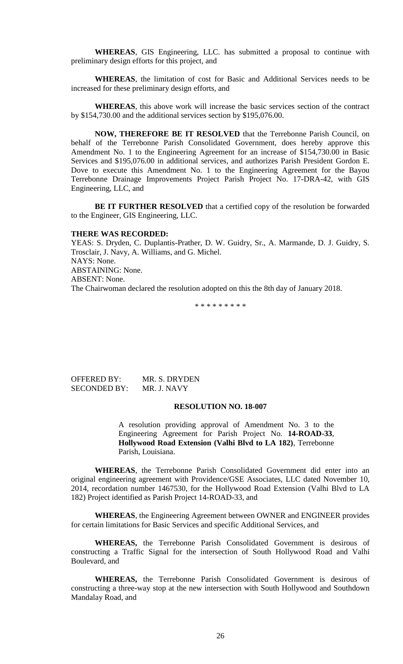**WHEREAS**, GIS Engineering, LLC. has submitted a proposal to continue with preliminary design efforts for this project, and

**WHEREAS**, the limitation of cost for Basic and Additional Services needs to be increased for these preliminary design efforts, and

**WHEREAS**, this above work will increase the basic services section of the contract by \$154,730.00 and the additional services section by \$195,076.00.

**NOW, THEREFORE BE IT RESOLVED** that the Terrebonne Parish Council, on behalf of the Terrebonne Parish Consolidated Government, does hereby approve this Amendment No. 1 to the Engineering Agreement for an increase of \$154,730.00 in Basic Services and \$195,076.00 in additional services, and authorizes Parish President Gordon E. Dove to execute this Amendment No. 1 to the Engineering Agreement for the Bayou Terrebonne Drainage Improvements Project Parish Project No. 17-DRA-42, with GIS Engineering, LLC, and

**BE IT FURTHER RESOLVED** that a certified copy of the resolution be forwarded to the Engineer, GIS Engineering, LLC.

#### **THERE WAS RECORDED:**

YEAS: S. Dryden, C. Duplantis-Prather, D. W. Guidry, Sr., A. Marmande, D. J. Guidry, S. Trosclair, J. Navy, A. Williams, and G. Michel. NAYS: None. ABSTAINING: None. ABSENT: None. The Chairwoman declared the resolution adopted on this the 8th day of January 2018.

\* \* \* \* \* \* \* \* \*

OFFERED BY: MR. S. DRYDEN SECONDED BY: MR. J. NAVY

#### **RESOLUTION NO. 18-007**

A resolution providing approval of Amendment No. 3 to the Engineering Agreement for Parish Project No. **14-ROAD-33**, **Hollywood Road Extension (Valhi Blvd to LA 182)**, Terrebonne Parish, Louisiana.

**WHEREAS**, the Terrebonne Parish Consolidated Government did enter into an original engineering agreement with Providence/GSE Associates, LLC dated November 10, 2014, recordation number 1467530, for the Hollywood Road Extension (Valhi Blvd to LA 182) Project identified as Parish Project 14-ROAD-33, and

**WHEREAS**, the Engineering Agreement between OWNER and ENGINEER provides for certain limitations for Basic Services and specific Additional Services, and

**WHEREAS,** the Terrebonne Parish Consolidated Government is desirous of constructing a Traffic Signal for the intersection of South Hollywood Road and Valhi Boulevard, and

**WHEREAS,** the Terrebonne Parish Consolidated Government is desirous of constructing a three-way stop at the new intersection with South Hollywood and Southdown Mandalay Road, and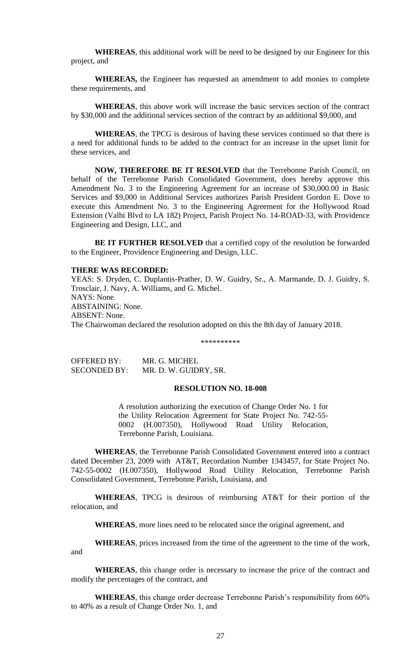**WHEREAS**, this additional work will be need to be designed by our Engineer for this project, and

**WHEREAS,** the Engineer has requested an amendment to add monies to complete these requirements, and

**WHEREAS**, this above work will increase the basic services section of the contract by \$30,000 and the additional services section of the contract by an additional \$9,000, and

**WHEREAS**, the TPCG is desirous of having these services continued so that there is a need for additional funds to be added to the contract for an increase in the upset limit for these services, and

**NOW, THEREFORE BE IT RESOLVED** that the Terrebonne Parish Council, on behalf of the Terrebonne Parish Consolidated Government, does hereby approve this Amendment No. 3 to the Engineering Agreement for an increase of \$30,000.00 in Basic Services and \$9,000 in Additional Services authorizes Parish President Gordon E. Dove to execute this Amendment No. 3 to the Engineering Agreement for the Hollywood Road Extension (Valhi Blvd to LA 182) Project, Parish Project No. 14-ROAD-33, with Providence Engineering and Design, LLC, and

**BE IT FURTHER RESOLVED** that a certified copy of the resolution be forwarded to the Engineer, Providence Engineering and Design, LLC.

### **THERE WAS RECORDED:**

YEAS: S. Dryden, C. Duplantis-Prather, D. W. Guidry, Sr., A. Marmande, D. J. Guidry, S. Trosclair, J. Navy, A. Williams, and G. Michel. NAYS: None. ABSTAINING: None. ABSENT: None. The Chairwoman declared the resolution adopted on this the 8th day of January 2018.

\*\*\*\*\*\*\*\*\*\*

OFFERED BY: MR. G. MICHEL SECONDED BY: MR. D. W. GUIDRY, SR.

# **RESOLUTION NO. 18-008**

A resolution authorizing the execution of Change Order No. 1 for the Utility Relocation Agreement for State Project No. 742-55- 0002 (H.007350), Hollywood Road Utility Relocation, Terrebonne Parish, Louisiana.

**WHEREAS**, the Terrebonne Parish Consolidated Government entered into a contract dated December 23, 2009 with AT&T, Recordation Number 1343457, for State Project No. 742-55-0002 (H.007350), Hollywood Road Utility Relocation, Terrebonne Parish Consolidated Government, Terrebonne Parish, Louisiana, and

**WHEREAS**, TPCG is desirous of reimbursing AT&T for their portion of the relocation, and

**WHEREAS**, more lines need to be relocated since the original agreement, and

**WHEREAS**, prices increased from the time of the agreement to the time of the work, and

**WHEREAS**, this change order is necessary to increase the price of the contract and modify the percentages of the contract, and

**WHEREAS**, this change order decrease Terrebonne Parish's responsibility from 60% to 40% as a result of Change Order No. 1, and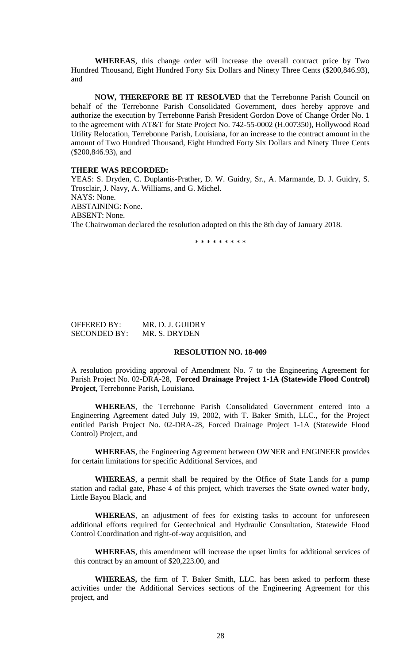**WHEREAS**, this change order will increase the overall contract price by Two Hundred Thousand, Eight Hundred Forty Six Dollars and Ninety Three Cents (\$200,846.93), and

**NOW, THEREFORE BE IT RESOLVED** that the Terrebonne Parish Council on behalf of the Terrebonne Parish Consolidated Government, does hereby approve and authorize the execution by Terrebonne Parish President Gordon Dove of Change Order No. 1 to the agreement with AT&T for State Project No. 742-55-0002 (H.007350), Hollywood Road Utility Relocation, Terrebonne Parish, Louisiana, for an increase to the contract amount in the amount of Two Hundred Thousand, Eight Hundred Forty Six Dollars and Ninety Three Cents (\$200,846.93), and

#### **THERE WAS RECORDED:**

YEAS: S. Dryden, C. Duplantis-Prather, D. W. Guidry, Sr., A. Marmande, D. J. Guidry, S. Trosclair, J. Navy, A. Williams, and G. Michel. NAYS: None. ABSTAINING: None. ABSENT: None. The Chairwoman declared the resolution adopted on this the 8th day of January 2018.

\* \* \* \* \* \* \* \* \*

| <b>OFFERED BY:</b>  | MR. D. J. GUIDRY |
|---------------------|------------------|
| <b>SECONDED BY:</b> | MR. S. DRYDEN    |

### **RESOLUTION NO. 18-009**

A resolution providing approval of Amendment No. 7 to the Engineering Agreement for Parish Project No. 02-DRA-28, **Forced Drainage Project 1-1A (Statewide Flood Control) Project**, Terrebonne Parish, Louisiana.

**WHEREAS**, the Terrebonne Parish Consolidated Government entered into a Engineering Agreement dated July 19, 2002, with T. Baker Smith, LLC., for the Project entitled Parish Project No. 02-DRA-28, Forced Drainage Project 1-1A (Statewide Flood Control) Project, and

**WHEREAS**, the Engineering Agreement between OWNER and ENGINEER provides for certain limitations for specific Additional Services, and

**WHEREAS**, a permit shall be required by the Office of State Lands for a pump station and radial gate, Phase 4 of this project, which traverses the State owned water body, Little Bayou Black, and

**WHEREAS**, an adjustment of fees for existing tasks to account for unforeseen additional efforts required for Geotechnical and Hydraulic Consultation, Statewide Flood Control Coordination and right-of-way acquisition, and

**WHEREAS**, this amendment will increase the upset limits for additional services of this contract by an amount of \$20,223.00, and

**WHEREAS,** the firm of T. Baker Smith, LLC. has been asked to perform these activities under the Additional Services sections of the Engineering Agreement for this project, and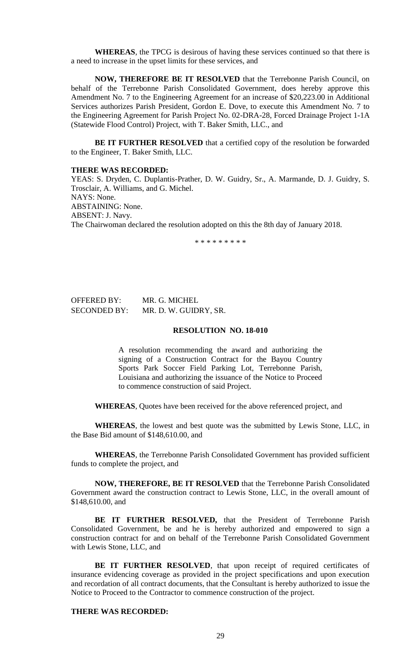**WHEREAS**, the TPCG is desirous of having these services continued so that there is a need to increase in the upset limits for these services, and

**NOW, THEREFORE BE IT RESOLVED** that the Terrebonne Parish Council, on behalf of the Terrebonne Parish Consolidated Government, does hereby approve this Amendment No. 7 to the Engineering Agreement for an increase of \$20,223.00 in Additional Services authorizes Parish President, Gordon E. Dove, to execute this Amendment No. 7 to the Engineering Agreement for Parish Project No. 02-DRA-28, Forced Drainage Project 1-1A (Statewide Flood Control) Project, with T. Baker Smith, LLC., and

**BE IT FURTHER RESOLVED** that a certified copy of the resolution be forwarded to the Engineer, T. Baker Smith, LLC.

#### **THERE WAS RECORDED:**

YEAS: S. Dryden, C. Duplantis-Prather, D. W. Guidry, Sr., A. Marmande, D. J. Guidry, S. Trosclair, A. Williams, and G. Michel. NAYS: None. ABSTAINING: None. ABSENT: J. Navy. The Chairwoman declared the resolution adopted on this the 8th day of January 2018.

\* \* \* \* \* \* \* \* \*

# OFFERED BY: MR. G. MICHEL SECONDED BY: MR. D. W. GUIDRY, SR.

## **RESOLUTION NO. 18-010**

A resolution recommending the award and authorizing the signing of a Construction Contract for the Bayou Country Sports Park Soccer Field Parking Lot, Terrebonne Parish, Louisiana and authorizing the issuance of the Notice to Proceed to commence construction of said Project.

**WHEREAS**, Quotes have been received for the above referenced project, and

**WHEREAS**, the lowest and best quote was the submitted by Lewis Stone, LLC, in the Base Bid amount of \$148,610.00, and

**WHEREAS**, the Terrebonne Parish Consolidated Government has provided sufficient funds to complete the project, and

**NOW, THEREFORE, BE IT RESOLVED** that the Terrebonne Parish Consolidated Government award the construction contract to Lewis Stone, LLC, in the overall amount of \$148,610.00, and

**BE IT FURTHER RESOLVED,** that the President of Terrebonne Parish Consolidated Government, be and he is hereby authorized and empowered to sign a construction contract for and on behalf of the Terrebonne Parish Consolidated Government with Lewis Stone, LLC, and

BE IT FURTHER RESOLVED, that upon receipt of required certificates of insurance evidencing coverage as provided in the project specifications and upon execution and recordation of all contract documents, that the Consultant is hereby authorized to issue the Notice to Proceed to the Contractor to commence construction of the project.

## **THERE WAS RECORDED:**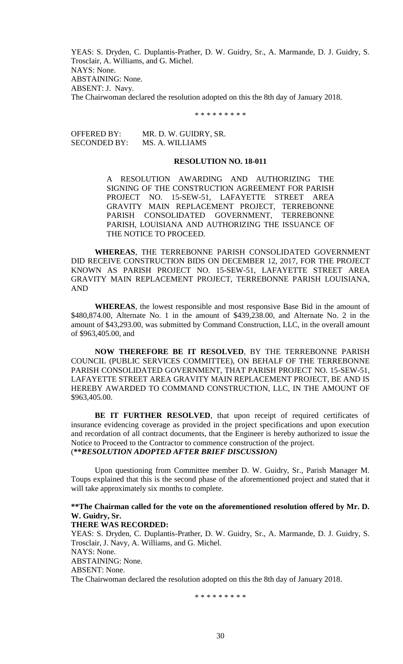YEAS: S. Dryden, C. Duplantis-Prather, D. W. Guidry, Sr., A. Marmande, D. J. Guidry, S. Trosclair, A. Williams, and G. Michel. NAYS: None. ABSTAINING: None. ABSENT: J. Navy. The Chairwoman declared the resolution adopted on this the 8th day of January 2018.

\* \* \* \* \* \* \* \* \*

OFFERED BY: MR. D. W. GUIDRY, SR. SECONDED BY: MS. A. WILLIAMS

#### **RESOLUTION NO. 18-011**

A RESOLUTION AWARDING AND AUTHORIZING THE SIGNING OF THE CONSTRUCTION AGREEMENT FOR PARISH PROJECT NO. 15-SEW-51, LAFAYETTE STREET AREA GRAVITY MAIN REPLACEMENT PROJECT, TERREBONNE PARISH CONSOLIDATED GOVERNMENT, TERREBONNE PARISH, LOUISIANA AND AUTHORIZING THE ISSUANCE OF THE NOTICE TO PROCEED.

**WHEREAS**, THE TERREBONNE PARISH CONSOLIDATED GOVERNMENT DID RECEIVE CONSTRUCTION BIDS ON DECEMBER 12, 2017, FOR THE PROJECT KNOWN AS PARISH PROJECT NO. 15-SEW-51, LAFAYETTE STREET AREA GRAVITY MAIN REPLACEMENT PROJECT, TERREBONNE PARISH LOUISIANA, AND

**WHEREAS**, the lowest responsible and most responsive Base Bid in the amount of \$480,874.00, Alternate No. 1 in the amount of \$439,238.00, and Alternate No. 2 in the amount of \$43,293.00, was submitted by Command Construction, LLC, in the overall amount of \$963,405.00, and

**NOW THEREFORE BE IT RESOLVED**, BY THE TERREBONNE PARISH COUNCIL (PUBLIC SERVICES COMMITTEE), ON BEHALF OF THE TERREBONNE PARISH CONSOLIDATED GOVERNMENT, THAT PARISH PROJECT NO. 15-SEW-51, LAFAYETTE STREET AREA GRAVITY MAIN REPLACEMENT PROJECT, BE AND IS HEREBY AWARDED TO COMMAND CONSTRUCTION, LLC, IN THE AMOUNT OF \$963,405.00.

BE IT FURTHER RESOLVED, that upon receipt of required certificates of insurance evidencing coverage as provided in the project specifications and upon execution and recordation of all contract documents, that the Engineer is hereby authorized to issue the Notice to Proceed to the Contractor to commence construction of the project. (**\*\****RESOLUTION ADOPTED AFTER BRIEF DISCUSSION)*

Upon questioning from Committee member D. W. Guidry, Sr., Parish Manager M. Toups explained that this is the second phase of the aforementioned project and stated that it will take approximately six months to complete.

**\*\*The Chairman called for the vote on the aforementioned resolution offered by Mr. D. W. Guidry, Sr.**

## **THERE WAS RECORDED:**

YEAS: S. Dryden, C. Duplantis-Prather, D. W. Guidry, Sr., A. Marmande, D. J. Guidry, S. Trosclair, J. Navy, A. Williams, and G. Michel. NAYS: None. ABSTAINING: None. ABSENT: None. The Chairwoman declared the resolution adopted on this the 8th day of January 2018.

\* \* \* \* \* \* \* \* \*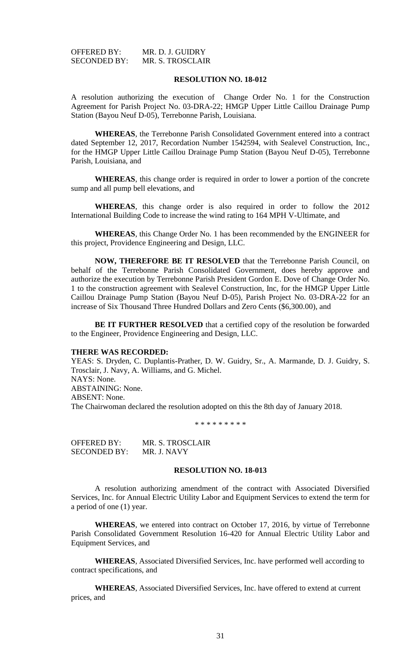| OFFERED BY:         | MR. D. J. GUIDRY |
|---------------------|------------------|
| <b>SECONDED BY:</b> | MR. S. TROSCLAIR |

#### **RESOLUTION NO. 18-012**

A resolution authorizing the execution of Change Order No. 1 for the Construction Agreement for Parish Project No. 03-DRA-22; HMGP Upper Little Caillou Drainage Pump Station (Bayou Neuf D-05), Terrebonne Parish, Louisiana.

**WHEREAS**, the Terrebonne Parish Consolidated Government entered into a contract dated September 12, 2017, Recordation Number 1542594, with Sealevel Construction, Inc., for the HMGP Upper Little Caillou Drainage Pump Station (Bayou Neuf D-05), Terrebonne Parish, Louisiana, and

**WHEREAS**, this change order is required in order to lower a portion of the concrete sump and all pump bell elevations, and

**WHEREAS**, this change order is also required in order to follow the 2012 International Building Code to increase the wind rating to 164 MPH V-Ultimate, and

**WHEREAS**, this Change Order No. 1 has been recommended by the ENGINEER for this project, Providence Engineering and Design, LLC.

**NOW, THEREFORE BE IT RESOLVED** that the Terrebonne Parish Council, on behalf of the Terrebonne Parish Consolidated Government, does hereby approve and authorize the execution by Terrebonne Parish President Gordon E. Dove of Change Order No. 1 to the construction agreement with Sealevel Construction, Inc, for the HMGP Upper Little Caillou Drainage Pump Station (Bayou Neuf D-05), Parish Project No. 03-DRA-22 for an increase of Six Thousand Three Hundred Dollars and Zero Cents (\$6,300.00), and

**BE IT FURTHER RESOLVED** that a certified copy of the resolution be forwarded to the Engineer, Providence Engineering and Design, LLC.

#### **THERE WAS RECORDED:**

YEAS: S. Dryden, C. Duplantis-Prather, D. W. Guidry, Sr., A. Marmande, D. J. Guidry, S. Trosclair, J. Navy, A. Williams, and G. Michel. NAYS: None. ABSTAINING: None. ABSENT: None. The Chairwoman declared the resolution adopted on this the 8th day of January 2018.

\* \* \* \* \* \* \* \* \*

OFFERED BY: MR. S. TROSCLAIR SECONDED BY: MR. J. NAVY

## **RESOLUTION NO. 18-013**

A resolution authorizing amendment of the contract with Associated Diversified Services, Inc. for Annual Electric Utility Labor and Equipment Services to extend the term for a period of one (1) year.

**WHEREAS**, we entered into contract on October 17, 2016, by virtue of Terrebonne Parish Consolidated Government Resolution 16-420 for Annual Electric Utility Labor and Equipment Services, and

**WHEREAS**, Associated Diversified Services, Inc. have performed well according to contract specifications, and

**WHEREAS**, Associated Diversified Services, Inc. have offered to extend at current prices, and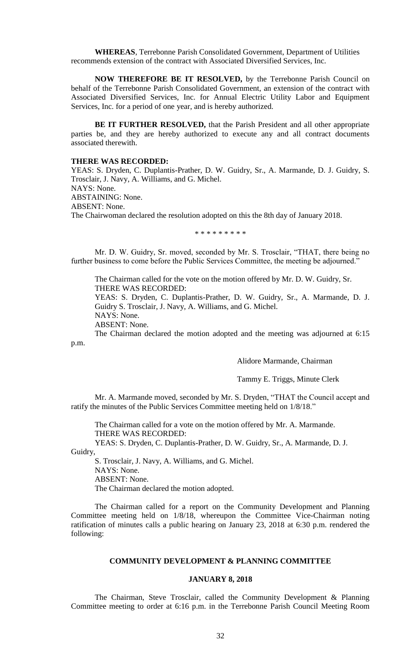**WHEREAS**, Terrebonne Parish Consolidated Government, Department of Utilities recommends extension of the contract with Associated Diversified Services, Inc.

**NOW THEREFORE BE IT RESOLVED,** by the Terrebonne Parish Council on behalf of the Terrebonne Parish Consolidated Government, an extension of the contract with Associated Diversified Services, Inc. for Annual Electric Utility Labor and Equipment Services, Inc. for a period of one year, and is hereby authorized.

**BE IT FURTHER RESOLVED,** that the Parish President and all other appropriate parties be, and they are hereby authorized to execute any and all contract documents associated therewith.

### **THERE WAS RECORDED:**

YEAS: S. Dryden, C. Duplantis-Prather, D. W. Guidry, Sr., A. Marmande, D. J. Guidry, S. Trosclair, J. Navy, A. Williams, and G. Michel. NAYS: None. ABSTAINING: None. ABSENT: None. The Chairwoman declared the resolution adopted on this the 8th day of January 2018.

\* \* \* \* \* \* \* \* \*

Mr. D. W. Guidry, Sr. moved, seconded by Mr. S. Trosclair, "THAT, there being no further business to come before the Public Services Committee, the meeting be adjourned."

The Chairman called for the vote on the motion offered by Mr. D. W. Guidry, Sr. THERE WAS RECORDED:

YEAS: S. Dryden, C. Duplantis-Prather, D. W. Guidry, Sr., A. Marmande, D. J. Guidry S. Trosclair, J. Navy, A. Williams, and G. Michel. NAYS: None.

ABSENT: None.

The Chairman declared the motion adopted and the meeting was adjourned at 6:15 p.m.

Alidore Marmande, Chairman

Tammy E. Triggs, Minute Clerk

Mr. A. Marmande moved, seconded by Mr. S. Dryden, "THAT the Council accept and ratify the minutes of the Public Services Committee meeting held on 1/8/18."

The Chairman called for a vote on the motion offered by Mr. A. Marmande. THERE WAS RECORDED:

YEAS: S. Dryden, C. Duplantis-Prather, D. W. Guidry, Sr., A. Marmande, D. J. Guidry,

S. Trosclair, J. Navy, A. Williams, and G. Michel. NAYS: None. ABSENT: None. The Chairman declared the motion adopted.

The Chairman called for a report on the Community Development and Planning Committee meeting held on 1/8/18, whereupon the Committee Vice-Chairman noting ratification of minutes calls a public hearing on January 23, 2018 at 6:30 p.m. rendered the following:

## **COMMUNITY DEVELOPMENT & PLANNING COMMITTEE**

## **JANUARY 8, 2018**

The Chairman, Steve Trosclair, called the Community Development & Planning Committee meeting to order at 6:16 p.m. in the Terrebonne Parish Council Meeting Room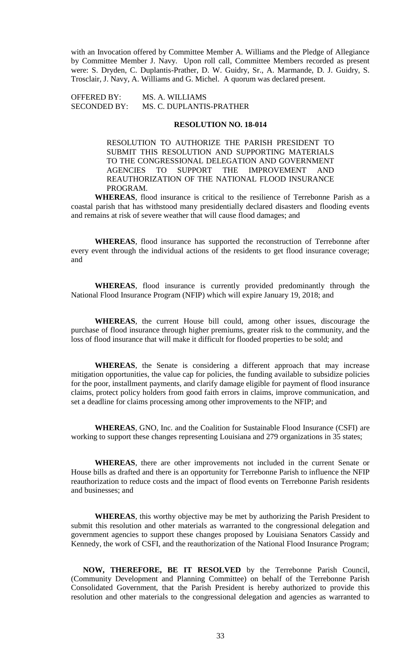with an Invocation offered by Committee Member A. Williams and the Pledge of Allegiance by Committee Member J. Navy. Upon roll call, Committee Members recorded as present were: S. Dryden, C. Duplantis-Prather, D. W. Guidry, Sr., A. Marmande, D. J. Guidry, S. Trosclair, J. Navy, A. Williams and G. Michel. A quorum was declared present.

OFFERED BY: MS. A. WILLIAMS SECONDED BY: MS. C. DUPLANTIS-PRATHER

## **RESOLUTION NO. 18-014**

RESOLUTION TO AUTHORIZE THE PARISH PRESIDENT TO SUBMIT THIS RESOLUTION AND SUPPORTING MATERIALS TO THE CONGRESSIONAL DELEGATION AND GOVERNMENT AGENCIES TO SUPPORT THE IMPROVEMENT AND REAUTHORIZATION OF THE NATIONAL FLOOD INSURANCE PROGRAM.

**WHEREAS**, flood insurance is critical to the resilience of Terrebonne Parish as a coastal parish that has withstood many presidentially declared disasters and flooding events and remains at risk of severe weather that will cause flood damages; and

**WHEREAS**, flood insurance has supported the reconstruction of Terrebonne after every event through the individual actions of the residents to get flood insurance coverage; and

**WHEREAS**, flood insurance is currently provided predominantly through the National Flood Insurance Program (NFIP) which will expire January 19, 2018; and

**WHEREAS**, the current House bill could, among other issues, discourage the purchase of flood insurance through higher premiums, greater risk to the community, and the loss of flood insurance that will make it difficult for flooded properties to be sold; and

**WHEREAS**, the Senate is considering a different approach that may increase mitigation opportunities, the value cap for policies, the funding available to subsidize policies for the poor, installment payments, and clarify damage eligible for payment of flood insurance claims, protect policy holders from good faith errors in claims, improve communication, and set a deadline for claims processing among other improvements to the NFIP; and

**WHEREAS**, GNO, Inc. and the Coalition for Sustainable Flood Insurance (CSFI) are working to support these changes representing Louisiana and 279 organizations in 35 states;

**WHEREAS**, there are other improvements not included in the current Senate or House bills as drafted and there is an opportunity for Terrebonne Parish to influence the NFIP reauthorization to reduce costs and the impact of flood events on Terrebonne Parish residents and businesses; and

**WHEREAS**, this worthy objective may be met by authorizing the Parish President to submit this resolution and other materials as warranted to the congressional delegation and government agencies to support these changes proposed by Louisiana Senators Cassidy and Kennedy, the work of CSFI, and the reauthorization of the National Flood Insurance Program;

**NOW, THEREFORE, BE IT RESOLVED** by the Terrebonne Parish Council, (Community Development and Planning Committee) on behalf of the Terrebonne Parish Consolidated Government, that the Parish President is hereby authorized to provide this resolution and other materials to the congressional delegation and agencies as warranted to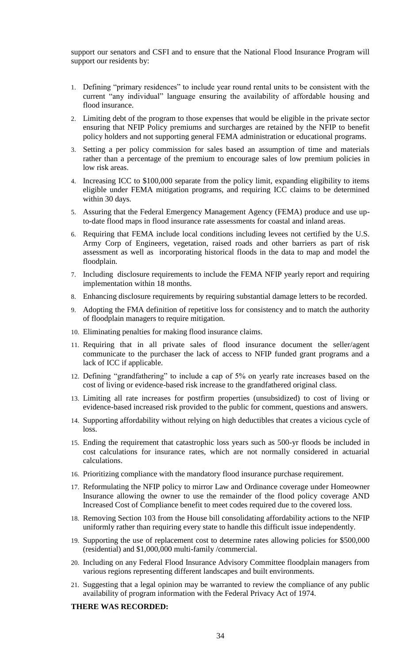support our senators and CSFI and to ensure that the National Flood Insurance Program will support our residents by:

- 1. Defining "primary residences" to include year round rental units to be consistent with the current "any individual" language ensuring the availability of affordable housing and flood insurance.
- 2. Limiting debt of the program to those expenses that would be eligible in the private sector ensuring that NFIP Policy premiums and surcharges are retained by the NFIP to benefit policy holders and not supporting general FEMA administration or educational programs.
- 3. Setting a per policy commission for sales based an assumption of time and materials rather than a percentage of the premium to encourage sales of low premium policies in low risk areas.
- 4. Increasing ICC to \$100,000 separate from the policy limit, expanding eligibility to items eligible under FEMA mitigation programs, and requiring ICC claims to be determined within 30 days.
- 5. Assuring that the Federal Emergency Management Agency (FEMA) produce and use upto-date flood maps in flood insurance rate assessments for coastal and inland areas.
- 6. Requiring that FEMA include local conditions including levees not certified by the U.S. Army Corp of Engineers, vegetation, raised roads and other barriers as part of risk assessment as well as incorporating historical floods in the data to map and model the floodplain.
- 7. Including disclosure requirements to include the FEMA NFIP yearly report and requiring implementation within 18 months.
- 8. Enhancing disclosure requirements by requiring substantial damage letters to be recorded.
- 9. Adopting the FMA definition of repetitive loss for consistency and to match the authority of floodplain managers to require mitigation.
- 10. Eliminating penalties for making flood insurance claims.
- 11. Requiring that in all private sales of flood insurance document the seller/agent communicate to the purchaser the lack of access to NFIP funded grant programs and a lack of ICC if applicable.
- 12. Defining "grandfathering" to include a cap of 5% on yearly rate increases based on the cost of living or evidence-based risk increase to the grandfathered original class.
- 13. Limiting all rate increases for postfirm properties (unsubsidized) to cost of living or evidence-based increased risk provided to the public for comment, questions and answers.
- 14. Supporting affordability without relying on high deductibles that creates a vicious cycle of loss.
- 15. Ending the requirement that catastrophic loss years such as 500-yr floods be included in cost calculations for insurance rates, which are not normally considered in actuarial calculations.
- 16. Prioritizing compliance with the mandatory flood insurance purchase requirement.
- 17. Reformulating the NFIP policy to mirror Law and Ordinance coverage under Homeowner Insurance allowing the owner to use the remainder of the flood policy coverage AND Increased Cost of Compliance benefit to meet codes required due to the covered loss.
- 18. Removing Section 103 from the House bill consolidating affordability actions to the NFIP uniformly rather than requiring every state to handle this difficult issue independently.
- 19. Supporting the use of replacement cost to determine rates allowing policies for \$500,000 (residential) and \$1,000,000 multi-family /commercial.
- 20. Including on any Federal Flood Insurance Advisory Committee floodplain managers from various regions representing different landscapes and built environments.
- 21. Suggesting that a legal opinion may be warranted to review the compliance of any public availability of program information with the Federal Privacy Act of 1974.

# **THERE WAS RECORDED:**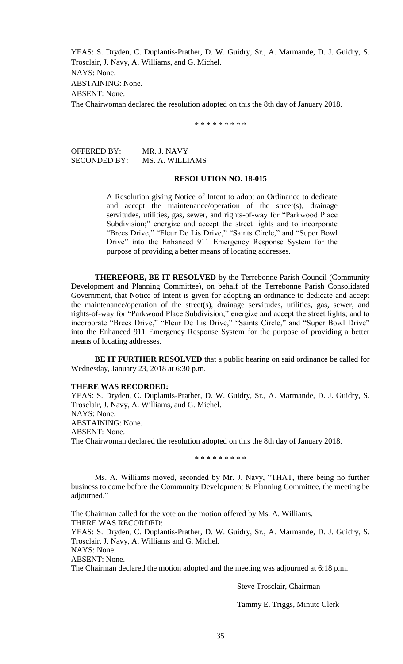YEAS: S. Dryden, C. Duplantis-Prather, D. W. Guidry, Sr., A. Marmande, D. J. Guidry, S. Trosclair, J. Navy, A. Williams, and G. Michel. NAYS: None. ABSTAINING: None. ABSENT: None. The Chairwoman declared the resolution adopted on this the 8th day of January 2018.

\* \* \* \* \* \* \* \* \*

OFFERED BY: MR. J. NAVY SECONDED BY: MS. A. WILLIAMS

### **RESOLUTION NO. 18-015**

A Resolution giving Notice of Intent to adopt an Ordinance to dedicate and accept the maintenance/operation of the street(s), drainage servitudes, utilities, gas, sewer, and rights-of-way for "Parkwood Place Subdivision;" energize and accept the street lights and to incorporate "Brees Drive," "Fleur De Lis Drive," "Saints Circle," and "Super Bowl Drive" into the Enhanced 911 Emergency Response System for the purpose of providing a better means of locating addresses.

**THEREFORE, BE IT RESOLVED** by the Terrebonne Parish Council (Community Development and Planning Committee), on behalf of the Terrebonne Parish Consolidated Government, that Notice of Intent is given for adopting an ordinance to dedicate and accept the maintenance/operation of the street(s), drainage servitudes, utilities, gas, sewer, and rights-of-way for "Parkwood Place Subdivision;" energize and accept the street lights; and to incorporate "Brees Drive," "Fleur De Lis Drive," "Saints Circle," and "Super Bowl Drive" into the Enhanced 911 Emergency Response System for the purpose of providing a better means of locating addresses.

**BE IT FURTHER RESOLVED** that a public hearing on said ordinance be called for Wednesday, January 23, 2018 at 6:30 p.m.

## **THERE WAS RECORDED:**

YEAS: S. Dryden, C. Duplantis-Prather, D. W. Guidry, Sr., A. Marmande, D. J. Guidry, S. Trosclair, J. Navy, A. Williams, and G. Michel. NAYS: None. ABSTAINING: None. ABSENT: None. The Chairwoman declared the resolution adopted on this the 8th day of January 2018.

\* \* \* \* \* \* \* \* \*

Ms. A. Williams moved, seconded by Mr. J. Navy, "THAT, there being no further business to come before the Community Development & Planning Committee, the meeting be adjourned."

The Chairman called for the vote on the motion offered by Ms. A. Williams. THERE WAS RECORDED:

YEAS: S. Dryden, C. Duplantis-Prather, D. W. Guidry, Sr., A. Marmande, D. J. Guidry, S. Trosclair, J. Navy, A. Williams and G. Michel.

NAYS: None.

ABSENT: None.

The Chairman declared the motion adopted and the meeting was adjourned at 6:18 p.m.

Steve Trosclair, Chairman

Tammy E. Triggs, Minute Clerk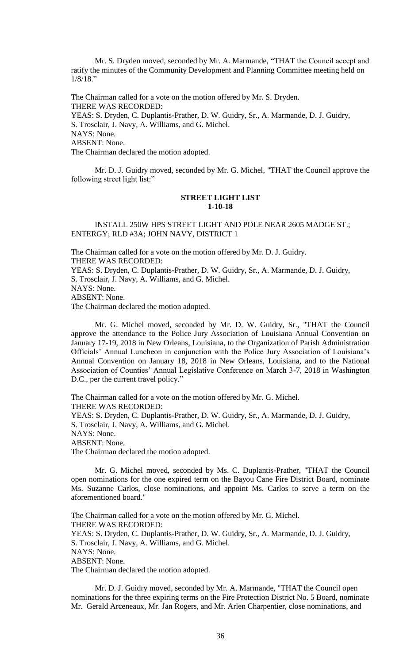Mr. S. Dryden moved, seconded by Mr. A. Marmande, "THAT the Council accept and ratify the minutes of the Community Development and Planning Committee meeting held on 1/8/18."

The Chairman called for a vote on the motion offered by Mr. S. Dryden. THERE WAS RECORDED: YEAS: S. Dryden, C. Duplantis-Prather, D. W. Guidry, Sr., A. Marmande, D. J. Guidry, S. Trosclair, J. Navy, A. Williams, and G. Michel. NAYS: None. ABSENT: None. The Chairman declared the motion adopted.

Mr. D. J. Guidry moved, seconded by Mr. G. Michel, "THAT the Council approve the following street light list:"

## **STREET LIGHT LIST 1-10-18**

INSTALL 250W HPS STREET LIGHT AND POLE NEAR 2605 MADGE ST.; ENTERGY; RLD #3A; JOHN NAVY, DISTRICT 1

The Chairman called for a vote on the motion offered by Mr. D. J. Guidry. THERE WAS RECORDED:

YEAS: S. Dryden, C. Duplantis-Prather, D. W. Guidry, Sr., A. Marmande, D. J. Guidry, S. Trosclair, J. Navy, A. Williams, and G. Michel. NAYS: None.

ABSENT: None.

The Chairman declared the motion adopted.

Mr. G. Michel moved, seconded by Mr. D. W. Guidry, Sr., "THAT the Council approve the attendance to the Police Jury Association of Louisiana Annual Convention on January 17-19, 2018 in New Orleans, Louisiana, to the Organization of Parish Administration Officials' Annual Luncheon in conjunction with the Police Jury Association of Louisiana's Annual Convention on January 18, 2018 in New Orleans, Louisiana, and to the National Association of Counties' Annual Legislative Conference on March 3-7, 2018 in Washington D.C., per the current travel policy."

The Chairman called for a vote on the motion offered by Mr. G. Michel. THERE WAS RECORDED: YEAS: S. Dryden, C. Duplantis-Prather, D. W. Guidry, Sr., A. Marmande, D. J. Guidry, S. Trosclair, J. Navy, A. Williams, and G. Michel. NAYS: None. ABSENT: None. The Chairman declared the motion adopted.

Mr. G. Michel moved, seconded by Ms. C. Duplantis-Prather, "THAT the Council open nominations for the one expired term on the Bayou Cane Fire District Board, nominate Ms. Suzanne Carlos, close nominations, and appoint Ms. Carlos to serve a term on the aforementioned board."

The Chairman called for a vote on the motion offered by Mr. G. Michel. THERE WAS RECORDED: YEAS: S. Dryden, C. Duplantis-Prather, D. W. Guidry, Sr., A. Marmande, D. J. Guidry, S. Trosclair, J. Navy, A. Williams, and G. Michel. NAYS: None. ABSENT: None. The Chairman declared the motion adopted.

Mr. D. J. Guidry moved, seconded by Mr. A. Marmande, "THAT the Council open nominations for the three expiring terms on the Fire Protection District No. 5 Board, nominate Mr. Gerald Arceneaux, Mr. Jan Rogers, and Mr. Arlen Charpentier, close nominations, and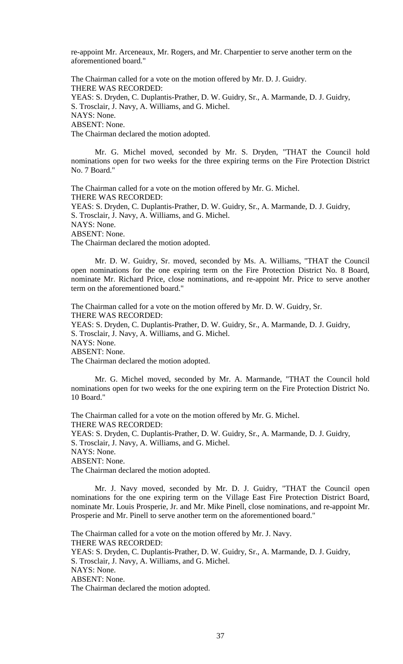re-appoint Mr. Arceneaux, Mr. Rogers, and Mr. Charpentier to serve another term on the aforementioned board."

The Chairman called for a vote on the motion offered by Mr. D. J. Guidry. THERE WAS RECORDED: YEAS: S. Dryden, C. Duplantis-Prather, D. W. Guidry, Sr., A. Marmande, D. J. Guidry, S. Trosclair, J. Navy, A. Williams, and G. Michel. NAYS: None. ABSENT: None. The Chairman declared the motion adopted.

Mr. G. Michel moved, seconded by Mr. S. Dryden, "THAT the Council hold nominations open for two weeks for the three expiring terms on the Fire Protection District No. 7 Board."

The Chairman called for a vote on the motion offered by Mr. G. Michel. THERE WAS RECORDED: YEAS: S. Dryden, C. Duplantis-Prather, D. W. Guidry, Sr., A. Marmande, D. J. Guidry, S. Trosclair, J. Navy, A. Williams, and G. Michel. NAYS: None. ABSENT: None. The Chairman declared the motion adopted.

Mr. D. W. Guidry, Sr. moved, seconded by Ms. A. Williams, "THAT the Council open nominations for the one expiring term on the Fire Protection District No. 8 Board, nominate Mr. Richard Price, close nominations, and re-appoint Mr. Price to serve another term on the aforementioned board."

The Chairman called for a vote on the motion offered by Mr. D. W. Guidry, Sr. THERE WAS RECORDED: YEAS: S. Dryden, C. Duplantis-Prather, D. W. Guidry, Sr., A. Marmande, D. J. Guidry, S. Trosclair, J. Navy, A. Williams, and G. Michel. NAYS: None. ABSENT: None. The Chairman declared the motion adopted.

Mr. G. Michel moved, seconded by Mr. A. Marmande, "THAT the Council hold nominations open for two weeks for the one expiring term on the Fire Protection District No. 10 Board."

The Chairman called for a vote on the motion offered by Mr. G. Michel. THERE WAS RECORDED: YEAS: S. Dryden, C. Duplantis-Prather, D. W. Guidry, Sr., A. Marmande, D. J. Guidry, S. Trosclair, J. Navy, A. Williams, and G. Michel. NAYS: None. ABSENT: None. The Chairman declared the motion adopted.

Mr. J. Navy moved, seconded by Mr. D. J. Guidry, "THAT the Council open nominations for the one expiring term on the Village East Fire Protection District Board, nominate Mr. Louis Prosperie, Jr. and Mr. Mike Pinell, close nominations, and re-appoint Mr. Prosperie and Mr. Pinell to serve another term on the aforementioned board."

The Chairman called for a vote on the motion offered by Mr. J. Navy. THERE WAS RECORDED: YEAS: S. Dryden, C. Duplantis-Prather, D. W. Guidry, Sr., A. Marmande, D. J. Guidry, S. Trosclair, J. Navy, A. Williams, and G. Michel. NAYS: None. ABSENT: None. The Chairman declared the motion adopted.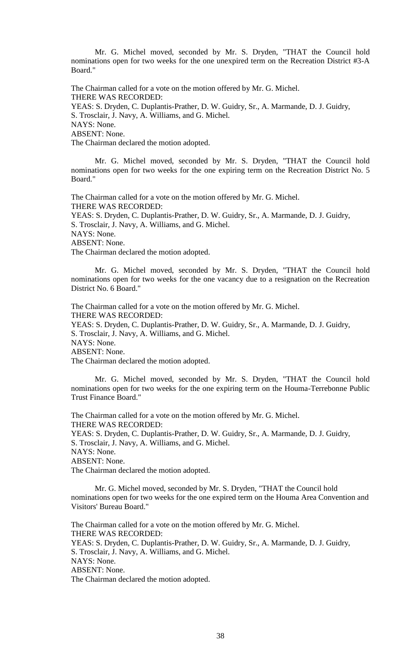Mr. G. Michel moved, seconded by Mr. S. Dryden, "THAT the Council hold nominations open for two weeks for the one unexpired term on the Recreation District #3-A Board."

The Chairman called for a vote on the motion offered by Mr. G. Michel. THERE WAS RECORDED:

YEAS: S. Dryden, C. Duplantis-Prather, D. W. Guidry, Sr., A. Marmande, D. J. Guidry, S. Trosclair, J. Navy, A. Williams, and G. Michel. NAYS: None. ABSENT: None.

The Chairman declared the motion adopted.

Mr. G. Michel moved, seconded by Mr. S. Dryden, "THAT the Council hold nominations open for two weeks for the one expiring term on the Recreation District No. 5 Board."

The Chairman called for a vote on the motion offered by Mr. G. Michel. THERE WAS RECORDED: YEAS: S. Dryden, C. Duplantis-Prather, D. W. Guidry, Sr., A. Marmande, D. J. Guidry, S. Trosclair, J. Navy, A. Williams, and G. Michel. NAYS: None. ABSENT: None.

The Chairman declared the motion adopted.

Mr. G. Michel moved, seconded by Mr. S. Dryden, "THAT the Council hold nominations open for two weeks for the one vacancy due to a resignation on the Recreation District No. 6 Board."

The Chairman called for a vote on the motion offered by Mr. G. Michel. THERE WAS RECORDED: YEAS: S. Dryden, C. Duplantis-Prather, D. W. Guidry, Sr., A. Marmande, D. J. Guidry, S. Trosclair, J. Navy, A. Williams, and G. Michel. NAYS: None. ABSENT: None. The Chairman declared the motion adopted.

Mr. G. Michel moved, seconded by Mr. S. Dryden, "THAT the Council hold nominations open for two weeks for the one expiring term on the Houma-Terrebonne Public Trust Finance Board."

The Chairman called for a vote on the motion offered by Mr. G. Michel. THERE WAS RECORDED: YEAS: S. Dryden, C. Duplantis-Prather, D. W. Guidry, Sr., A. Marmande, D. J. Guidry, S. Trosclair, J. Navy, A. Williams, and G. Michel. NAYS: None. ABSENT: None. The Chairman declared the motion adopted.

Mr. G. Michel moved, seconded by Mr. S. Dryden, "THAT the Council hold nominations open for two weeks for the one expired term on the Houma Area Convention and Visitors' Bureau Board."

The Chairman called for a vote on the motion offered by Mr. G. Michel. THERE WAS RECORDED: YEAS: S. Dryden, C. Duplantis-Prather, D. W. Guidry, Sr., A. Marmande, D. J. Guidry, S. Trosclair, J. Navy, A. Williams, and G. Michel. NAYS: None. ABSENT: None. The Chairman declared the motion adopted.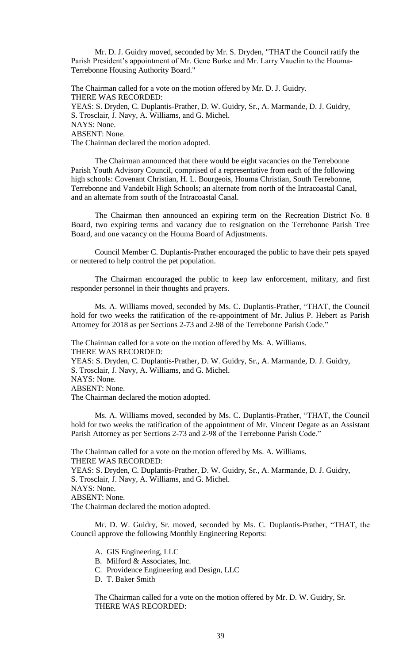Mr. D. J. Guidry moved, seconded by Mr. S. Dryden, "THAT the Council ratify the Parish President's appointment of Mr. Gene Burke and Mr. Larry Vauclin to the Houma-Terrebonne Housing Authority Board."

The Chairman called for a vote on the motion offered by Mr. D. J. Guidry. THERE WAS RECORDED: YEAS: S. Dryden, C. Duplantis-Prather, D. W. Guidry, Sr., A. Marmande, D. J. Guidry, S. Trosclair, J. Navy, A. Williams, and G. Michel. NAYS: None. ABSENT: None. The Chairman declared the motion adopted.

The Chairman announced that there would be eight vacancies on the Terrebonne Parish Youth Advisory Council, comprised of a representative from each of the following high schools: Covenant Christian, H. L. Bourgeois, Houma Christian, South Terrebonne, Terrebonne and Vandebilt High Schools; an alternate from north of the Intracoastal Canal, and an alternate from south of the Intracoastal Canal.

The Chairman then announced an expiring term on the Recreation District No. 8 Board, two expiring terms and vacancy due to resignation on the Terrebonne Parish Tree Board, and one vacancy on the Houma Board of Adjustments.

Council Member C. Duplantis-Prather encouraged the public to have their pets spayed or neutered to help control the pet population.

The Chairman encouraged the public to keep law enforcement, military, and first responder personnel in their thoughts and prayers.

Ms. A. Williams moved, seconded by Ms. C. Duplantis-Prather, "THAT, the Council hold for two weeks the ratification of the re-appointment of Mr. Julius P. Hebert as Parish Attorney for 2018 as per Sections 2-73 and 2-98 of the Terrebonne Parish Code."

The Chairman called for a vote on the motion offered by Ms. A. Williams. THERE WAS RECORDED:

YEAS: S. Dryden, C. Duplantis-Prather, D. W. Guidry, Sr., A. Marmande, D. J. Guidry, S. Trosclair, J. Navy, A. Williams, and G. Michel. NAYS: None.

ABSENT: None.

The Chairman declared the motion adopted.

Ms. A. Williams moved, seconded by Ms. C. Duplantis-Prather, "THAT, the Council hold for two weeks the ratification of the appointment of Mr. Vincent Degate as an Assistant Parish Attorney as per Sections 2-73 and 2-98 of the Terrebonne Parish Code."

The Chairman called for a vote on the motion offered by Ms. A. Williams. THERE WAS RECORDED: YEAS: S. Dryden, C. Duplantis-Prather, D. W. Guidry, Sr., A. Marmande, D. J. Guidry, S. Trosclair, J. Navy, A. Williams, and G. Michel. NAYS: None. ABSENT: None. The Chairman declared the motion adopted.

Mr. D. W. Guidry, Sr. moved, seconded by Ms. C. Duplantis-Prather, "THAT, the Council approve the following Monthly Engineering Reports:

A. GIS Engineering, LLC

- B. Milford & Associates, Inc.
- C. Providence Engineering and Design, LLC
- D. T. Baker Smith

The Chairman called for a vote on the motion offered by Mr. D. W. Guidry, Sr. THERE WAS RECORDED: